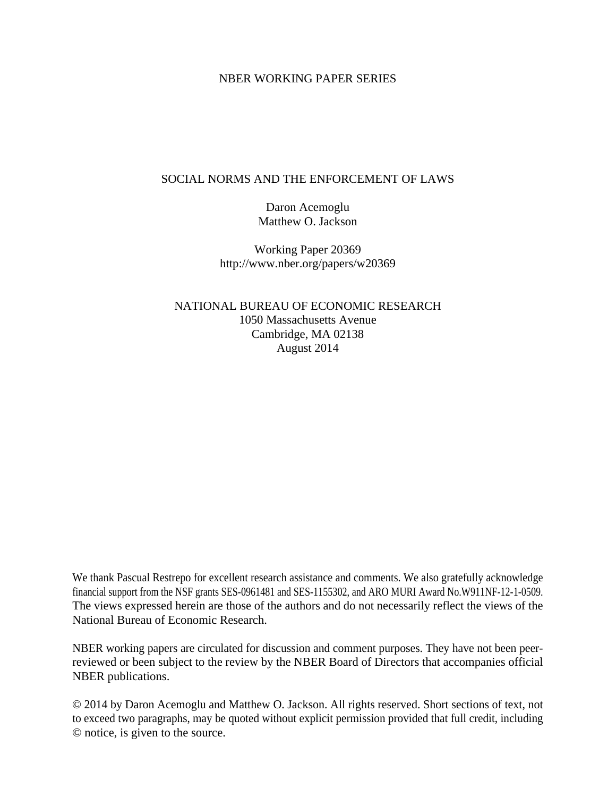#### NBER WORKING PAPER SERIES

#### SOCIAL NORMS AND THE ENFORCEMENT OF LAWS

Daron Acemoglu Matthew O. Jackson

Working Paper 20369 http://www.nber.org/papers/w20369

NATIONAL BUREAU OF ECONOMIC RESEARCH 1050 Massachusetts Avenue Cambridge, MA 02138 August 2014

We thank Pascual Restrepo for excellent research assistance and comments. We also gratefully acknowledge financial support from the NSF grants SES-0961481 and SES-1155302, and ARO MURI Award No.W911NF-12-1-0509. The views expressed herein are those of the authors and do not necessarily reflect the views of the National Bureau of Economic Research.

NBER working papers are circulated for discussion and comment purposes. They have not been peerreviewed or been subject to the review by the NBER Board of Directors that accompanies official NBER publications.

© 2014 by Daron Acemoglu and Matthew O. Jackson. All rights reserved. Short sections of text, not to exceed two paragraphs, may be quoted without explicit permission provided that full credit, including © notice, is given to the source.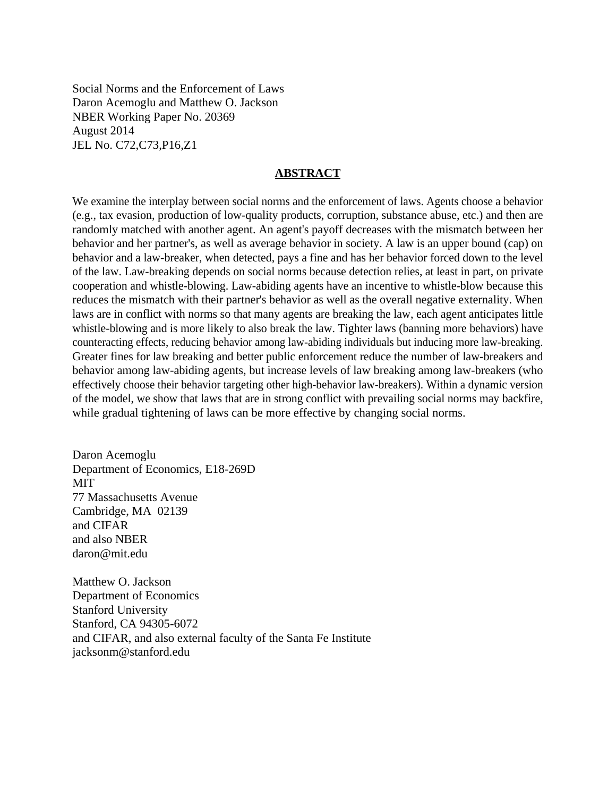Social Norms and the Enforcement of Laws Daron Acemoglu and Matthew O. Jackson NBER Working Paper No. 20369 August 2014 JEL No. C72,C73,P16,Z1

#### **ABSTRACT**

We examine the interplay between social norms and the enforcement of laws. Agents choose a behavior (e.g., tax evasion, production of low-quality products, corruption, substance abuse, etc.) and then are randomly matched with another agent. An agent's payoff decreases with the mismatch between her behavior and her partner's, as well as average behavior in society. A law is an upper bound (cap) on behavior and a law-breaker, when detected, pays a fine and has her behavior forced down to the level of the law. Law-breaking depends on social norms because detection relies, at least in part, on private cooperation and whistle-blowing. Law-abiding agents have an incentive to whistle-blow because this reduces the mismatch with their partner's behavior as well as the overall negative externality. When laws are in conflict with norms so that many agents are breaking the law, each agent anticipates little whistle-blowing and is more likely to also break the law. Tighter laws (banning more behaviors) have counteracting effects, reducing behavior among law-abiding individuals but inducing more law-breaking. Greater fines for law breaking and better public enforcement reduce the number of law-breakers and behavior among law-abiding agents, but increase levels of law breaking among law-breakers (who effectively choose their behavior targeting other high-behavior law-breakers). Within a dynamic version of the model, we show that laws that are in strong conflict with prevailing social norms may backfire, while gradual tightening of laws can be more effective by changing social norms.

Daron Acemoglu Department of Economics, E18-269D MIT 77 Massachusetts Avenue Cambridge, MA 02139 and CIFAR and also NBER daron@mit.edu

Matthew O. Jackson Department of Economics Stanford University Stanford, CA 94305-6072 and CIFAR, and also external faculty of the Santa Fe Institute jacksonm@stanford.edu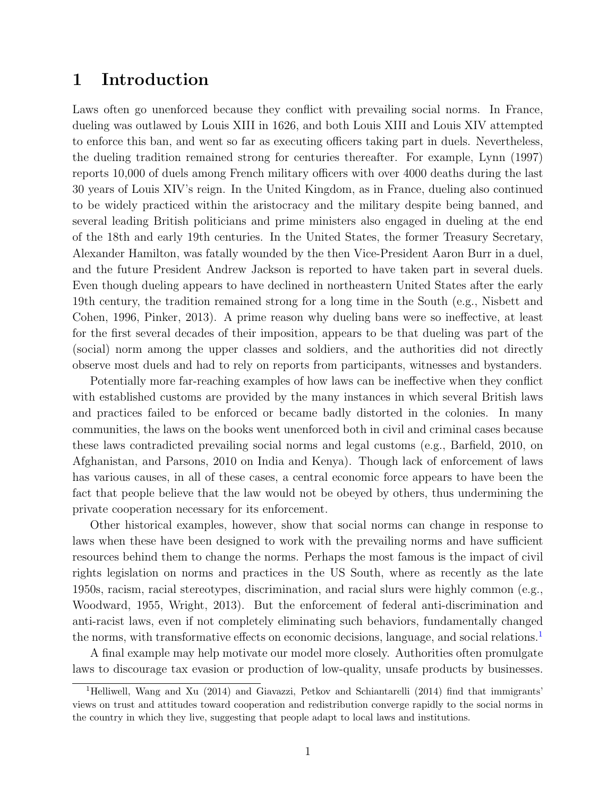## 1 Introduction

Laws often go unenforced because they conflict with prevailing social norms. In France, dueling was outlawed by Louis XIII in 1626, and both Louis XIII and Louis XIV attempted to enforce this ban, and went so far as executing officers taking part in duels. Nevertheless, the dueling tradition remained strong for centuries thereafter. For example, Lynn (1997) reports 10,000 of duels among French military officers with over 4000 deaths during the last 30 years of Louis XIV's reign. In the United Kingdom, as in France, dueling also continued to be widely practiced within the aristocracy and the military despite being banned, and several leading British politicians and prime ministers also engaged in dueling at the end of the 18th and early 19th centuries. In the United States, the former Treasury Secretary, Alexander Hamilton, was fatally wounded by the then Vice-President Aaron Burr in a duel, and the future President Andrew Jackson is reported to have taken part in several duels. Even though dueling appears to have declined in northeastern United States after the early 19th century, the tradition remained strong for a long time in the South (e.g., Nisbett and Cohen, 1996, Pinker, 2013). A prime reason why dueling bans were so ineffective, at least for the first several decades of their imposition, appears to be that dueling was part of the (social) norm among the upper classes and soldiers, and the authorities did not directly observe most duels and had to rely on reports from participants, witnesses and bystanders.

Potentially more far-reaching examples of how laws can be ineffective when they conflict with established customs are provided by the many instances in which several British laws and practices failed to be enforced or became badly distorted in the colonies. In many communities, the laws on the books went unenforced both in civil and criminal cases because these laws contradicted prevailing social norms and legal customs (e.g., Barfield, 2010, on Afghanistan, and Parsons, 2010 on India and Kenya). Though lack of enforcement of laws has various causes, in all of these cases, a central economic force appears to have been the fact that people believe that the law would not be obeyed by others, thus undermining the private cooperation necessary for its enforcement.

Other historical examples, however, show that social norms can change in response to laws when these have been designed to work with the prevailing norms and have sufficient resources behind them to change the norms. Perhaps the most famous is the impact of civil rights legislation on norms and practices in the US South, where as recently as the late 1950s, racism, racial stereotypes, discrimination, and racial slurs were highly common (e.g., Woodward, 1955, Wright, 2013). But the enforcement of federal anti-discrimination and anti-racist laws, even if not completely eliminating such behaviors, fundamentally changed the norms, with transformative effects on economic decisions, language, and social relations.[1](#page-2-0)

A final example may help motivate our model more closely. Authorities often promulgate laws to discourage tax evasion or production of low-quality, unsafe products by businesses.

<span id="page-2-0"></span><sup>&</sup>lt;sup>1</sup>Helliwell, Wang and Xu (2014) and Giavazzi, Petkov and Schiantarelli (2014) find that immigrants' views on trust and attitudes toward cooperation and redistribution converge rapidly to the social norms in the country in which they live, suggesting that people adapt to local laws and institutions.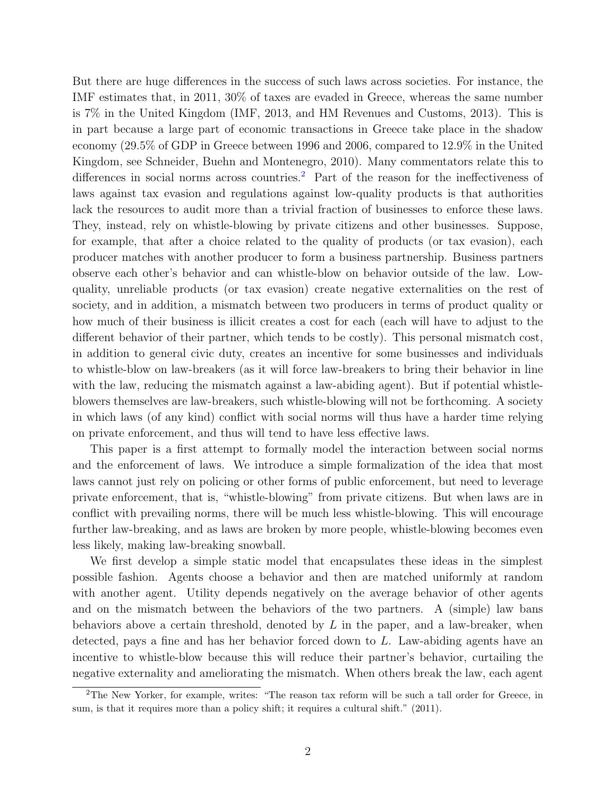But there are huge differences in the success of such laws across societies. For instance, the IMF estimates that, in 2011, 30% of taxes are evaded in Greece, whereas the same number is 7% in the United Kingdom (IMF, 2013, and HM Revenues and Customs, 2013). This is in part because a large part of economic transactions in Greece take place in the shadow economy (29.5% of GDP in Greece between 1996 and 2006, compared to 12.9% in the United Kingdom, see Schneider, Buehn and Montenegro, 2010). Many commentators relate this to differences in social norms across countries.<sup>[2](#page-3-0)</sup> Part of the reason for the ineffectiveness of laws against tax evasion and regulations against low-quality products is that authorities lack the resources to audit more than a trivial fraction of businesses to enforce these laws. They, instead, rely on whistle-blowing by private citizens and other businesses. Suppose, for example, that after a choice related to the quality of products (or tax evasion), each producer matches with another producer to form a business partnership. Business partners observe each other's behavior and can whistle-blow on behavior outside of the law. Lowquality, unreliable products (or tax evasion) create negative externalities on the rest of society, and in addition, a mismatch between two producers in terms of product quality or how much of their business is illicit creates a cost for each (each will have to adjust to the different behavior of their partner, which tends to be costly). This personal mismatch cost, in addition to general civic duty, creates an incentive for some businesses and individuals to whistle-blow on law-breakers (as it will force law-breakers to bring their behavior in line with the law, reducing the mismatch against a law-abiding agent). But if potential whistleblowers themselves are law-breakers, such whistle-blowing will not be forthcoming. A society in which laws (of any kind) conflict with social norms will thus have a harder time relying on private enforcement, and thus will tend to have less effective laws.

This paper is a first attempt to formally model the interaction between social norms and the enforcement of laws. We introduce a simple formalization of the idea that most laws cannot just rely on policing or other forms of public enforcement, but need to leverage private enforcement, that is, "whistle-blowing" from private citizens. But when laws are in conflict with prevailing norms, there will be much less whistle-blowing. This will encourage further law-breaking, and as laws are broken by more people, whistle-blowing becomes even less likely, making law-breaking snowball.

We first develop a simple static model that encapsulates these ideas in the simplest possible fashion. Agents choose a behavior and then are matched uniformly at random with another agent. Utility depends negatively on the average behavior of other agents and on the mismatch between the behaviors of the two partners. A (simple) law bans behaviors above a certain threshold, denoted by  $L$  in the paper, and a law-breaker, when detected, pays a fine and has her behavior forced down to L. Law-abiding agents have an incentive to whistle-blow because this will reduce their partner's behavior, curtailing the negative externality and ameliorating the mismatch. When others break the law, each agent

<span id="page-3-0"></span><sup>&</sup>lt;sup>2</sup>The New Yorker, for example, writes: "The reason tax reform will be such a tall order for Greece, in sum, is that it requires more than a policy shift; it requires a cultural shift." (2011).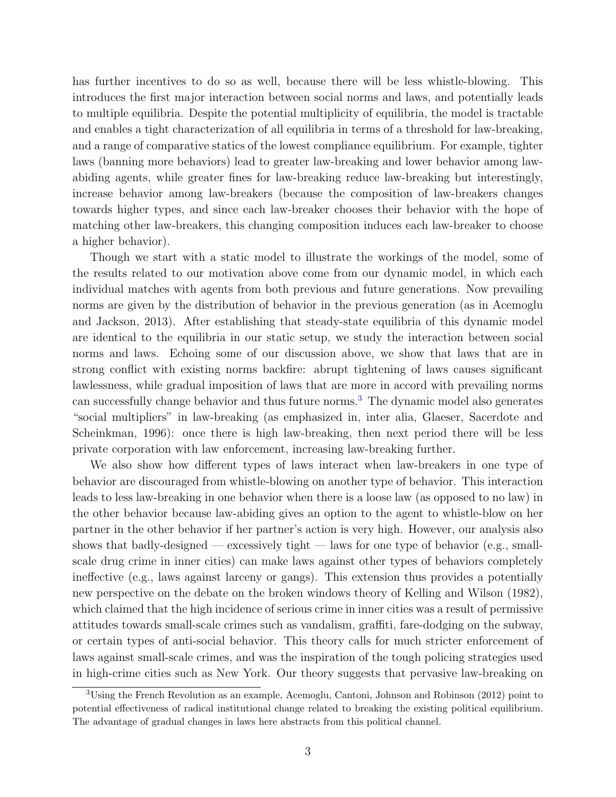has further incentives to do so as well, because there will be less whistle-blowing. This introduces the first major interaction between social norms and laws, and potentially leads to multiple equilibria. Despite the potential multiplicity of equilibria, the model is tractable and enables a tight characterization of all equilibria in terms of a threshold for law-breaking, and a range of comparative statics of the lowest compliance equilibrium. For example, tighter laws (banning more behaviors) lead to greater law-breaking and lower behavior among lawabiding agents, while greater fines for law-breaking reduce law-breaking but interestingly, increase behavior among law-breakers (because the composition of law-breakers changes towards higher types, and since each law-breaker chooses their behavior with the hope of matching other law-breakers, this changing composition induces each law-breaker to choose a higher behavior).

Though we start with a static model to illustrate the workings of the model, some of the results related to our motivation above come from our dynamic model, in which each individual matches with agents from both previous and future generations. Now prevailing norms are given by the distribution of behavior in the previous generation (as in Acemoglu and Jackson, 2013). After establishing that steady-state equilibria of this dynamic model are identical to the equilibria in our static setup, we study the interaction between social norms and laws. Echoing some of our discussion above, we show that laws that are in strong conflict with existing norms backfire: abrupt tightening of laws causes significant lawlessness, while gradual imposition of laws that are more in accord with prevailing norms can successfully change behavior and thus future norms.[3](#page-4-0) The dynamic model also generates "social multipliers" in law-breaking (as emphasized in, inter alia, Glaeser, Sacerdote and Scheinkman, 1996): once there is high law-breaking, then next period there will be less private corporation with law enforcement, increasing law-breaking further.

We also show how different types of laws interact when law-breakers in one type of behavior are discouraged from whistle-blowing on another type of behavior. This interaction leads to less law-breaking in one behavior when there is a loose law (as opposed to no law) in the other behavior because law-abiding gives an option to the agent to whistle-blow on her partner in the other behavior if her partner's action is very high. However, our analysis also shows that badly-designed — excessively tight — laws for one type of behavior (e.g., smallscale drug crime in inner cities) can make laws against other types of behaviors completely ineffective (e.g., laws against larceny or gangs). This extension thus provides a potentially new perspective on the debate on the broken windows theory of Kelling and Wilson (1982), which claimed that the high incidence of serious crime in inner cities was a result of permissive attitudes towards small-scale crimes such as vandalism, graffiti, fare-dodging on the subway, or certain types of anti-social behavior. This theory calls for much stricter enforcement of laws against small-scale crimes, and was the inspiration of the tough policing strategies used in high-crime cities such as New York. Our theory suggests that pervasive law-breaking on

<span id="page-4-0"></span><sup>3</sup>Using the French Revolution as an example, Acemoglu, Cantoni, Johnson and Robinson (2012) point to potential effectiveness of radical institutional change related to breaking the existing political equilibrium. The advantage of gradual changes in laws here abstracts from this political channel.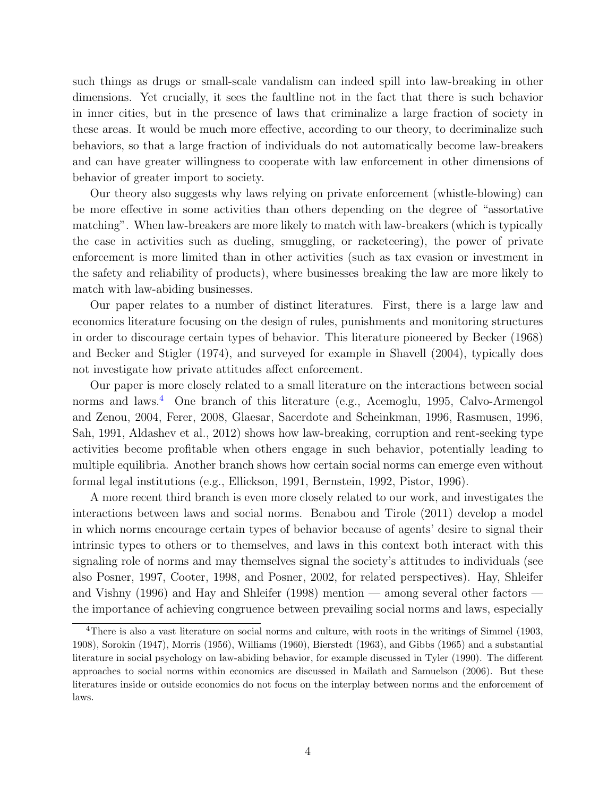such things as drugs or small-scale vandalism can indeed spill into law-breaking in other dimensions. Yet crucially, it sees the faultline not in the fact that there is such behavior in inner cities, but in the presence of laws that criminalize a large fraction of society in these areas. It would be much more effective, according to our theory, to decriminalize such behaviors, so that a large fraction of individuals do not automatically become law-breakers and can have greater willingness to cooperate with law enforcement in other dimensions of behavior of greater import to society.

Our theory also suggests why laws relying on private enforcement (whistle-blowing) can be more effective in some activities than others depending on the degree of "assortative matching". When law-breakers are more likely to match with law-breakers (which is typically the case in activities such as dueling, smuggling, or racketeering), the power of private enforcement is more limited than in other activities (such as tax evasion or investment in the safety and reliability of products), where businesses breaking the law are more likely to match with law-abiding businesses.

Our paper relates to a number of distinct literatures. First, there is a large law and economics literature focusing on the design of rules, punishments and monitoring structures in order to discourage certain types of behavior. This literature pioneered by Becker (1968) and Becker and Stigler (1974), and surveyed for example in Shavell (2004), typically does not investigate how private attitudes affect enforcement.

Our paper is more closely related to a small literature on the interactions between social norms and laws.[4](#page-5-0) One branch of this literature (e.g., Acemoglu, 1995, Calvo-Armengol and Zenou, 2004, Ferer, 2008, Glaesar, Sacerdote and Scheinkman, 1996, Rasmusen, 1996, Sah, 1991, Aldashev et al., 2012) shows how law-breaking, corruption and rent-seeking type activities become profitable when others engage in such behavior, potentially leading to multiple equilibria. Another branch shows how certain social norms can emerge even without formal legal institutions (e.g., Ellickson, 1991, Bernstein, 1992, Pistor, 1996).

A more recent third branch is even more closely related to our work, and investigates the interactions between laws and social norms. Benabou and Tirole (2011) develop a model in which norms encourage certain types of behavior because of agents' desire to signal their intrinsic types to others or to themselves, and laws in this context both interact with this signaling role of norms and may themselves signal the society's attitudes to individuals (see also Posner, 1997, Cooter, 1998, and Posner, 2002, for related perspectives). Hay, Shleifer and Vishny (1996) and Hay and Shleifer (1998) mention — among several other factors the importance of achieving congruence between prevailing social norms and laws, especially

<span id="page-5-0"></span><sup>4</sup>There is also a vast literature on social norms and culture, with roots in the writings of Simmel (1903, 1908), Sorokin (1947), Morris (1956), Williams (1960), Bierstedt (1963), and Gibbs (1965) and a substantial literature in social psychology on law-abiding behavior, for example discussed in Tyler (1990). The different approaches to social norms within economics are discussed in Mailath and Samuelson (2006). But these literatures inside or outside economics do not focus on the interplay between norms and the enforcement of laws.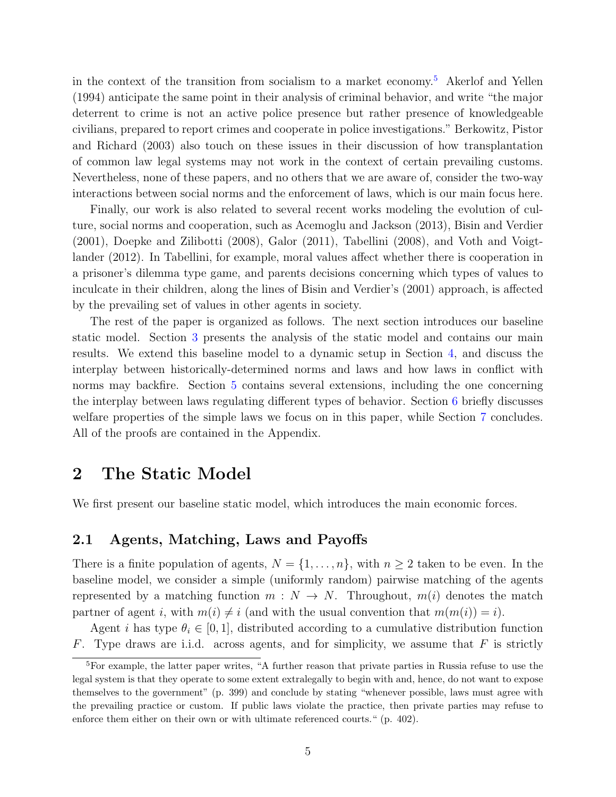in the context of the transition from socialism to a market economy.<sup>[5](#page-6-0)</sup> Akerlof and Yellen (1994) anticipate the same point in their analysis of criminal behavior, and write "the major deterrent to crime is not an active police presence but rather presence of knowledgeable civilians, prepared to report crimes and cooperate in police investigations." Berkowitz, Pistor and Richard (2003) also touch on these issues in their discussion of how transplantation of common law legal systems may not work in the context of certain prevailing customs. Nevertheless, none of these papers, and no others that we are aware of, consider the two-way interactions between social norms and the enforcement of laws, which is our main focus here.

Finally, our work is also related to several recent works modeling the evolution of culture, social norms and cooperation, such as Acemoglu and Jackson (2013), Bisin and Verdier (2001), Doepke and Zilibotti (2008), Galor (2011), Tabellini (2008), and Voth and Voigtlander (2012). In Tabellini, for example, moral values affect whether there is cooperation in a prisoner's dilemma type game, and parents decisions concerning which types of values to inculcate in their children, along the lines of Bisin and Verdier's (2001) approach, is affected by the prevailing set of values in other agents in society.

The rest of the paper is organized as follows. The next section introduces our baseline static model. Section [3](#page-10-0) presents the analysis of the static model and contains our main results. We extend this baseline model to a dynamic setup in Section [4,](#page-17-0) and discuss the interplay between historically-determined norms and laws and how laws in conflict with norms may backfire. Section [5](#page-23-0) contains several extensions, including the one concerning the interplay between laws regulating different types of behavior. Section [6](#page-27-0) briefly discusses welfare properties of the simple laws we focus on in this paper, while Section [7](#page-28-0) concludes. All of the proofs are contained in the Appendix.

## 2 The Static Model

We first present our baseline static model, which introduces the main economic forces.

#### 2.1 Agents, Matching, Laws and Payoffs

There is a finite population of agents,  $N = \{1, \ldots, n\}$ , with  $n \geq 2$  taken to be even. In the baseline model, we consider a simple (uniformly random) pairwise matching of the agents represented by a matching function  $m : N \to N$ . Throughout,  $m(i)$  denotes the match partner of agent i, with  $m(i) \neq i$  (and with the usual convention that  $m(m(i)) = i$ ).

Agent *i* has type  $\theta_i \in [0, 1]$ , distributed according to a cumulative distribution function F. Type draws are i.i.d. across agents, and for simplicity, we assume that  $F$  is strictly

<span id="page-6-0"></span> $\overline{5}$ For example, the latter paper writes, "A further reason that private parties in Russia refuse to use the legal system is that they operate to some extent extralegally to begin with and, hence, do not want to expose themselves to the government" (p. 399) and conclude by stating "whenever possible, laws must agree with the prevailing practice or custom. If public laws violate the practice, then private parties may refuse to enforce them either on their own or with ultimate referenced courts." (p. 402).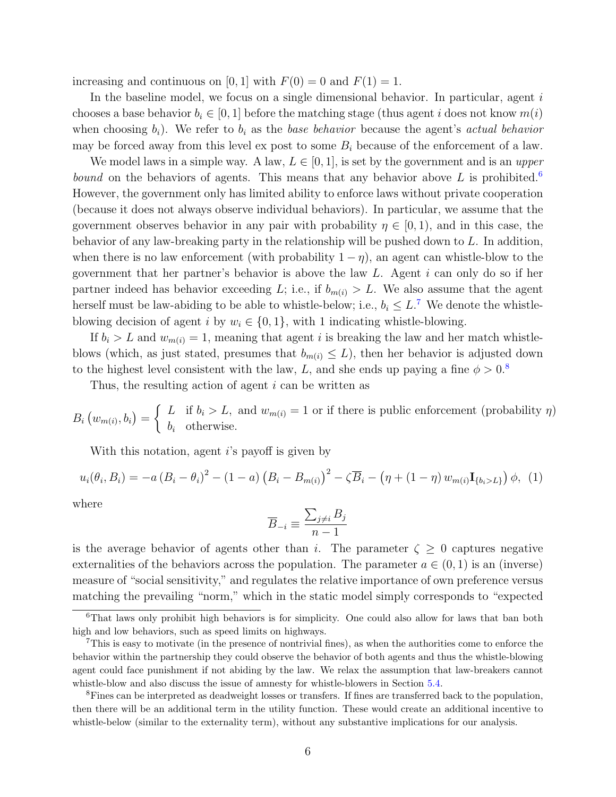increasing and continuous on [0, 1] with  $F(0) = 0$  and  $F(1) = 1$ .

In the baseline model, we focus on a single dimensional behavior. In particular, agent  $i$ chooses a base behavior  $b_i \in [0, 1]$  before the matching stage (thus agent i does not know  $m(i)$ when choosing  $b_i$ ). We refer to  $b_i$  as the base behavior because the agent's actual behavior may be forced away from this level ex post to some  $B_i$  because of the enforcement of a law.

We model laws in a simple way. A law,  $L \in [0, 1]$ , is set by the government and is an upper *bound* on the behaviors of agents. This means that any behavior above  $L$  is prohibited.<sup>[6](#page-7-0)</sup> However, the government only has limited ability to enforce laws without private cooperation (because it does not always observe individual behaviors). In particular, we assume that the government observes behavior in any pair with probability  $\eta \in [0,1)$ , and in this case, the behavior of any law-breaking party in the relationship will be pushed down to L. In addition, when there is no law enforcement (with probability  $1 - \eta$ ), an agent can whistle-blow to the government that her partner's behavior is above the law  $L$ . Agent  $i$  can only do so if her partner indeed has behavior exceeding L; i.e., if  $b_{m(i)} > L$ . We also assume that the agent herself must be law-abiding to be able to whistle-below; i.e.,  $b_i \leq L$ .<sup>[7](#page-7-1)</sup> We denote the whistleblowing decision of agent i by  $w_i \in \{0, 1\}$ , with 1 indicating whistle-blowing.

If  $b_i > L$  and  $w_{m(i)} = 1$ , meaning that agent i is breaking the law and her match whistleblows (which, as just stated, presumes that  $b_{m(i)} \leq L$ ), then her behavior is adjusted down to the highest level consistent with the law, L, and she ends up paying a fine  $\phi > 0.8$  $\phi > 0.8$ 

Thus, the resulting action of agent i can be written as

 $B_i(w_{m(i)}, b_i) =$  $\int L$  if  $b_i > L$ , and  $w_{m(i)} = 1$  or if there is public enforcement (probability  $\eta$ )  $b_i$  otherwise.

With this notation, agent  $i$ 's payoff is given by

<span id="page-7-3"></span>
$$
u_i(\theta_i, B_i) = -a (B_i - \theta_i)^2 - (1 - a) (B_i - B_{m(i)})^2 - \zeta \overline{B}_i - (\eta + (1 - \eta) w_{m(i)} \mathbf{I}_{\{b_i > L\}}) \phi, (1)
$$

where

$$
\overline{B}_{-i}\equiv \frac{\sum_{j\neq i}B_j}{n-1}
$$

is the average behavior of agents other than i. The parameter  $\zeta \geq 0$  captures negative externalities of the behaviors across the population. The parameter  $a \in (0,1)$  is an (inverse) measure of "social sensitivity," and regulates the relative importance of own preference versus matching the prevailing "norm," which in the static model simply corresponds to "expected

<span id="page-7-0"></span><sup>6</sup>That laws only prohibit high behaviors is for simplicity. One could also allow for laws that ban both high and low behaviors, such as speed limits on highways.

<span id="page-7-1"></span><sup>7</sup>This is easy to motivate (in the presence of nontrivial fines), as when the authorities come to enforce the behavior within the partnership they could observe the behavior of both agents and thus the whistle-blowing agent could face punishment if not abiding by the law. We relax the assumption that law-breakers cannot whistle-blow and also discuss the issue of amnesty for whistle-blowers in Section [5.4.](#page-27-1)

<span id="page-7-2"></span><sup>&</sup>lt;sup>8</sup>Fines can be interpreted as deadweight losses or transfers. If fines are transferred back to the population, then there will be an additional term in the utility function. These would create an additional incentive to whistle-below (similar to the externality term), without any substantive implications for our analysis.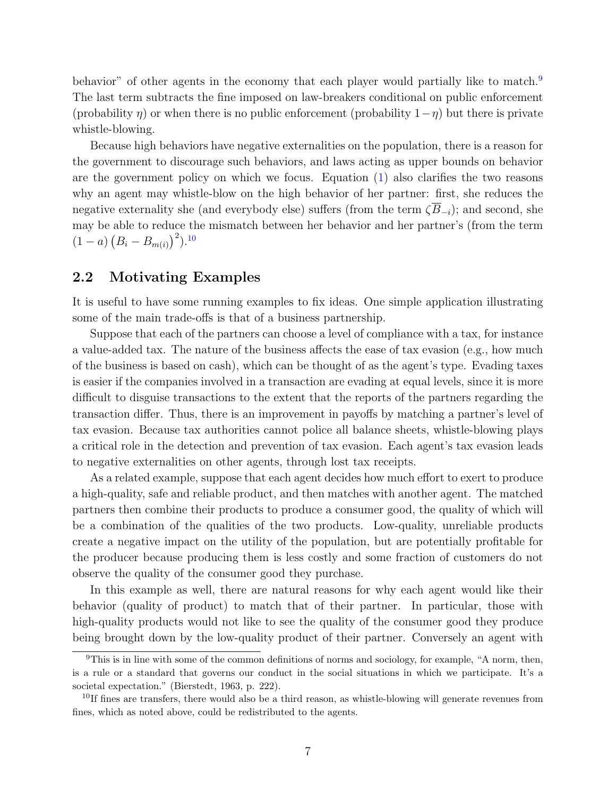behavior" of other agents in the economy that each player would partially like to match.<sup>[9](#page-8-0)</sup> The last term subtracts the fine imposed on law-breakers conditional on public enforcement (probability  $\eta$ ) or when there is no public enforcement (probability  $1-\eta$ ) but there is private whistle-blowing.

Because high behaviors have negative externalities on the population, there is a reason for the government to discourage such behaviors, and laws acting as upper bounds on behavior are the government policy on which we focus. Equation [\(1\)](#page-7-3) also clarifies the two reasons why an agent may whistle-blow on the high behavior of her partner: first, she reduces the negative externality she (and everybody else) suffers (from the term  $\overline{\langle B_{-i}}$ ); and second, she may be able to reduce the mismatch between her behavior and her partner's (from the term  $(1-a)(B_i-B_{m(i)})^2$ .<sup>[10](#page-8-1)</sup>

#### 2.2 Motivating Examples

It is useful to have some running examples to fix ideas. One simple application illustrating some of the main trade-offs is that of a business partnership.

Suppose that each of the partners can choose a level of compliance with a tax, for instance a value-added tax. The nature of the business affects the ease of tax evasion (e.g., how much of the business is based on cash), which can be thought of as the agent's type. Evading taxes is easier if the companies involved in a transaction are evading at equal levels, since it is more difficult to disguise transactions to the extent that the reports of the partners regarding the transaction differ. Thus, there is an improvement in payoffs by matching a partner's level of tax evasion. Because tax authorities cannot police all balance sheets, whistle-blowing plays a critical role in the detection and prevention of tax evasion. Each agent's tax evasion leads to negative externalities on other agents, through lost tax receipts.

As a related example, suppose that each agent decides how much effort to exert to produce a high-quality, safe and reliable product, and then matches with another agent. The matched partners then combine their products to produce a consumer good, the quality of which will be a combination of the qualities of the two products. Low-quality, unreliable products create a negative impact on the utility of the population, but are potentially profitable for the producer because producing them is less costly and some fraction of customers do not observe the quality of the consumer good they purchase.

In this example as well, there are natural reasons for why each agent would like their behavior (quality of product) to match that of their partner. In particular, those with high-quality products would not like to see the quality of the consumer good they produce being brought down by the low-quality product of their partner. Conversely an agent with

<span id="page-8-0"></span><sup>9</sup>This is in line with some of the common definitions of norms and sociology, for example, "A norm, then, is a rule or a standard that governs our conduct in the social situations in which we participate. It's a societal expectation." (Bierstedt, 1963, p. 222).

<span id="page-8-1"></span> $^{10}$ If fines are transfers, there would also be a third reason, as whistle-blowing will generate revenues from fines, which as noted above, could be redistributed to the agents.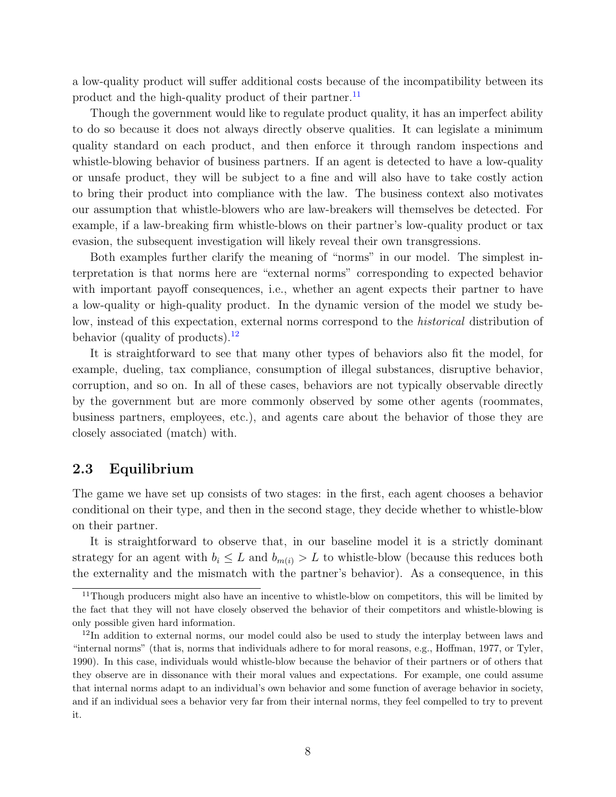a low-quality product will suffer additional costs because of the incompatibility between its product and the high-quality product of their partner.<sup>[11](#page-9-0)</sup>

Though the government would like to regulate product quality, it has an imperfect ability to do so because it does not always directly observe qualities. It can legislate a minimum quality standard on each product, and then enforce it through random inspections and whistle-blowing behavior of business partners. If an agent is detected to have a low-quality or unsafe product, they will be subject to a fine and will also have to take costly action to bring their product into compliance with the law. The business context also motivates our assumption that whistle-blowers who are law-breakers will themselves be detected. For example, if a law-breaking firm whistle-blows on their partner's low-quality product or tax evasion, the subsequent investigation will likely reveal their own transgressions.

Both examples further clarify the meaning of "norms" in our model. The simplest interpretation is that norms here are "external norms" corresponding to expected behavior with important payoff consequences, i.e., whether an agent expects their partner to have a low-quality or high-quality product. In the dynamic version of the model we study below, instead of this expectation, external norms correspond to the *historical* distribution of behavior (quality of products). $^{12}$  $^{12}$  $^{12}$ 

It is straightforward to see that many other types of behaviors also fit the model, for example, dueling, tax compliance, consumption of illegal substances, disruptive behavior, corruption, and so on. In all of these cases, behaviors are not typically observable directly by the government but are more commonly observed by some other agents (roommates, business partners, employees, etc.), and agents care about the behavior of those they are closely associated (match) with.

### 2.3 Equilibrium

The game we have set up consists of two stages: in the first, each agent chooses a behavior conditional on their type, and then in the second stage, they decide whether to whistle-blow on their partner.

It is straightforward to observe that, in our baseline model it is a strictly dominant strategy for an agent with  $b_i \leq L$  and  $b_{m(i)} > L$  to whistle-blow (because this reduces both the externality and the mismatch with the partner's behavior). As a consequence, in this

<span id="page-9-0"></span><sup>&</sup>lt;sup>11</sup>Though producers might also have an incentive to whistle-blow on competitors, this will be limited by the fact that they will not have closely observed the behavior of their competitors and whistle-blowing is only possible given hard information.

<span id="page-9-1"></span><sup>&</sup>lt;sup>12</sup>In addition to external norms, our model could also be used to study the interplay between laws and "internal norms" (that is, norms that individuals adhere to for moral reasons, e.g., Hoffman, 1977, or Tyler, 1990). In this case, individuals would whistle-blow because the behavior of their partners or of others that they observe are in dissonance with their moral values and expectations. For example, one could assume that internal norms adapt to an individual's own behavior and some function of average behavior in society, and if an individual sees a behavior very far from their internal norms, they feel compelled to try to prevent it.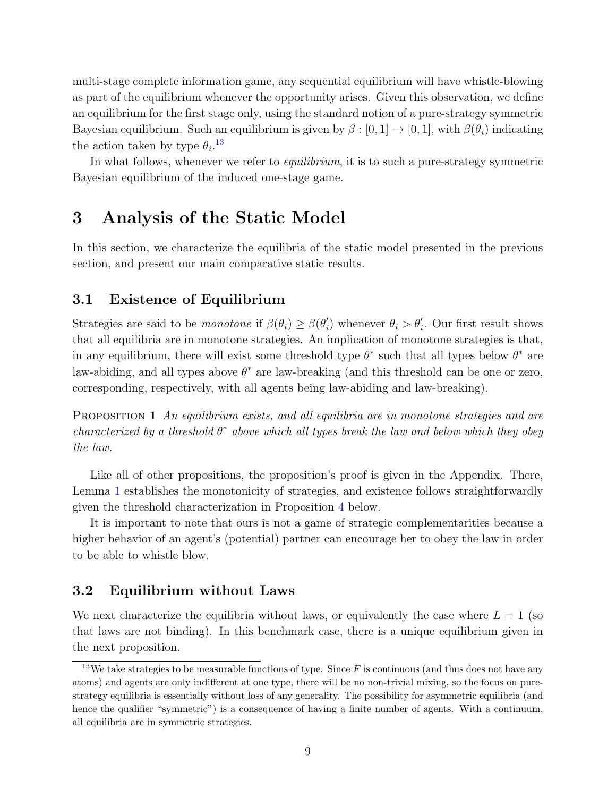multi-stage complete information game, any sequential equilibrium will have whistle-blowing as part of the equilibrium whenever the opportunity arises. Given this observation, we define an equilibrium for the first stage only, using the standard notion of a pure-strategy symmetric Bayesian equilibrium. Such an equilibrium is given by  $\beta : [0, 1] \to [0, 1]$ , with  $\beta(\theta_i)$  indicating the action taken by type  $\theta_i$ .<sup>[13](#page-10-1)</sup>

In what follows, whenever we refer to *equilibrium*, it is to such a pure-strategy symmetric Bayesian equilibrium of the induced one-stage game.

## <span id="page-10-0"></span>3 Analysis of the Static Model

In this section, we characterize the equilibria of the static model presented in the previous section, and present our main comparative static results.

#### 3.1 Existence of Equilibrium

Strategies are said to be *monotone* if  $\beta(\theta_i) \geq \beta(\theta'_i)$  $\ell_i$ ) whenever  $\theta_i > \theta_i'$ . Our first result shows that all equilibria are in monotone strategies. An implication of monotone strategies is that, in any equilibrium, there will exist some threshold type  $\theta^*$  such that all types below  $\theta^*$  are law-abiding, and all types above  $\theta^*$  are law-breaking (and this threshold can be one or zero, corresponding, respectively, with all agents being law-abiding and law-breaking).

<span id="page-10-3"></span>PROPOSITION 1 An equilibrium exists, and all equilibria are in monotone strategies and are characterized by a threshold  $\theta^*$  above which all types break the law and below which they obey the law.

Like all of other propositions, the proposition's proof is given in the Appendix. There, Lemma [1](#page-29-0) establishes the monotonicity of strategies, and existence follows straightforwardly given the threshold characterization in Proposition [4](#page-12-0) below.

It is important to note that ours is not a game of strategic complementarities because a higher behavior of an agent's (potential) partner can encourage her to obey the law in order to be able to whistle blow.

### 3.2 Equilibrium without Laws

We next characterize the equilibria without laws, or equivalently the case where  $L = 1$  (so that laws are not binding). In this benchmark case, there is a unique equilibrium given in the next proposition.

<span id="page-10-2"></span><span id="page-10-1"></span><sup>&</sup>lt;sup>13</sup>We take strategies to be measurable functions of type. Since  $F$  is continuous (and thus does not have any atoms) and agents are only indifferent at one type, there will be no non-trivial mixing, so the focus on purestrategy equilibria is essentially without loss of any generality. The possibility for asymmetric equilibria (and hence the qualifier "symmetric") is a consequence of having a finite number of agents. With a continuum, all equilibria are in symmetric strategies.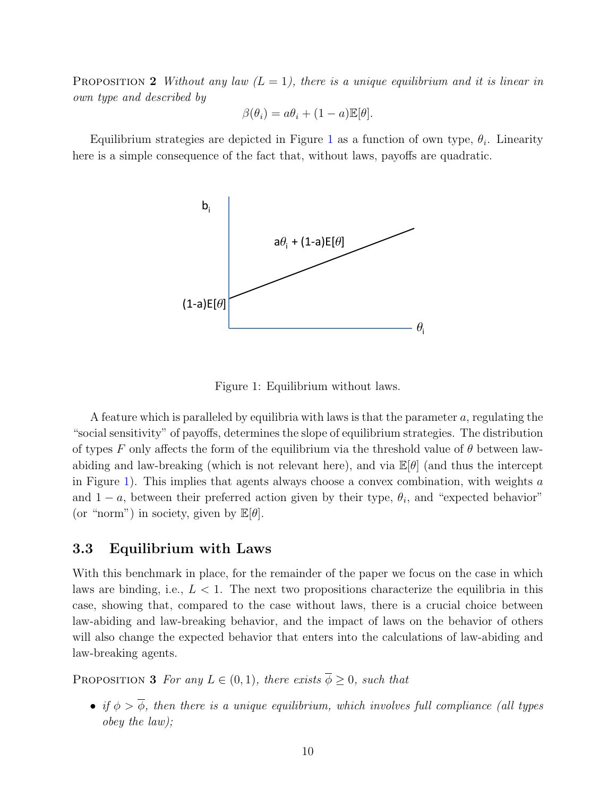**PROPOSITION 2** Without any law  $(L = 1)$ , there is a unique equilibrium and it is linear in own type and described by

$$
\beta(\theta_i) = a\theta_i + (1 - a)\mathbb{E}[\theta].
$$

<span id="page-11-0"></span>Equilibrium strategies are depicted in Figure [1](#page-11-0) as a function of own type,  $\theta_i$ . Linearity here is a simple consequence of the fact that, without laws, payoffs are quadratic.



Figure 1: Equilibrium without laws.

A feature which is paralleled by equilibria with laws is that the parameter  $a$ , regulating the "social sensitivity" of payoffs, determines the slope of equilibrium strategies. The distribution of types F only affects the form of the equilibrium via the threshold value of  $\theta$  between lawabiding and law-breaking (which is not relevant here), and via  $\mathbb{E}[\theta]$  (and thus the intercept in Figure [1\)](#page-11-0). This implies that agents always choose a convex combination, with weights a and  $1 - a$ , between their preferred action given by their type,  $\theta_i$ , and "expected behavior" (or "norm") in society, given by  $\mathbb{E}[\theta]$ .

#### 3.3 Equilibrium with Laws

With this benchmark in place, for the remainder of the paper we focus on the case in which laws are binding, i.e.,  $L < 1$ . The next two propositions characterize the equilibria in this case, showing that, compared to the case without laws, there is a crucial choice between law-abiding and law-breaking behavior, and the impact of laws on the behavior of others will also change the expected behavior that enters into the calculations of law-abiding and law-breaking agents.

<span id="page-11-1"></span>PROPOSITION 3 For any  $L \in (0,1)$ , there exists  $\overline{\phi} \geq 0$ , such that

• if  $\phi > \overline{\phi}$ , then there is a unique equilibrium, which involves full compliance (all types obey the law);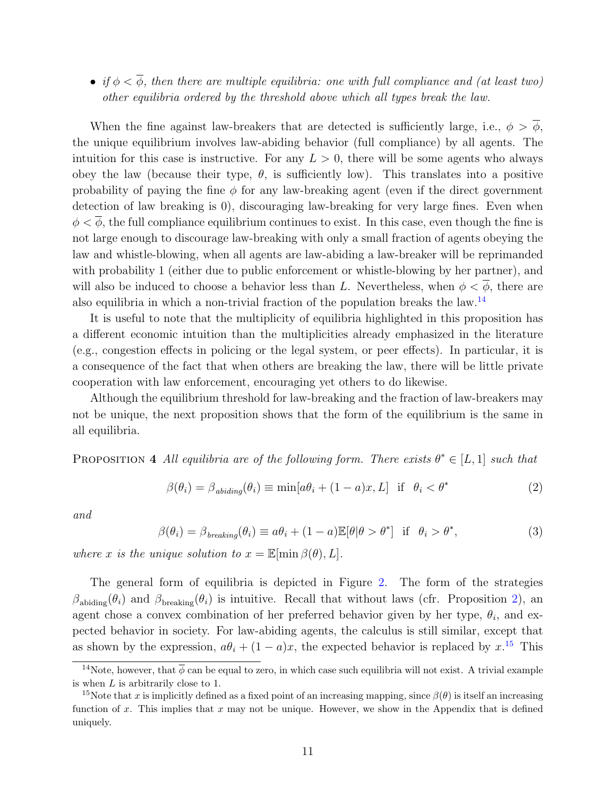• if  $\phi < \overline{\phi}$ , then there are multiple equilibria: one with full compliance and (at least two) other equilibria ordered by the threshold above which all types break the law.

When the fine against law-breakers that are detected is sufficiently large, i.e.,  $\phi > \phi$ , the unique equilibrium involves law-abiding behavior (full compliance) by all agents. The intuition for this case is instructive. For any  $L > 0$ , there will be some agents who always obey the law (because their type,  $\theta$ , is sufficiently low). This translates into a positive probability of paying the fine  $\phi$  for any law-breaking agent (even if the direct government detection of law breaking is 0), discouraging law-breaking for very large fines. Even when  $\phi < \overline{\phi}$ , the full compliance equilibrium continues to exist. In this case, even though the fine is not large enough to discourage law-breaking with only a small fraction of agents obeying the law and whistle-blowing, when all agents are law-abiding a law-breaker will be reprimanded with probability 1 (either due to public enforcement or whistle-blowing by her partner), and will also be induced to choose a behavior less than L. Nevertheless, when  $\phi < \phi$ , there are also equilibria in which a non-trivial fraction of the population breaks the law.[14](#page-12-1)

It is useful to note that the multiplicity of equilibria highlighted in this proposition has a different economic intuition than the multiplicities already emphasized in the literature (e.g., congestion effects in policing or the legal system, or peer effects). In particular, it is a consequence of the fact that when others are breaking the law, there will be little private cooperation with law enforcement, encouraging yet others to do likewise.

Although the equilibrium threshold for law-breaking and the fraction of law-breakers may not be unique, the next proposition shows that the form of the equilibrium is the same in all equilibria.

<span id="page-12-0"></span>PROPOSITION 4 All equilibria are of the following form. There exists  $\theta^* \in [L,1]$  such that

<span id="page-12-3"></span>
$$
\beta(\theta_i) = \beta_{\text{abiding}}(\theta_i) \equiv \min[a\theta_i + (1-a)x, L] \quad \text{if} \quad \theta_i < \theta^* \tag{2}
$$

and

<span id="page-12-4"></span>
$$
\beta(\theta_i) = \beta_{breaking}(\theta_i) \equiv a\theta_i + (1 - a)\mathbb{E}[\theta|\theta > \theta^*] \text{ if } \theta_i > \theta^*,
$$
\n(3)

where x is the unique solution to  $x = \mathbb{E}[\min \beta(\theta), L].$ 

The general form of equilibria is depicted in Figure [2.](#page-13-0) The form of the strategies  $\beta_{\text{abiding}}(\theta_i)$  and  $\beta_{\text{breaking}}(\theta_i)$  is intuitive. Recall that without laws (cfr. Proposition [2\)](#page-10-2), an agent chose a convex combination of her preferred behavior given by her type,  $\theta_i$ , and expected behavior in society. For law-abiding agents, the calculus is still similar, except that as shown by the expression,  $a\theta_i + (1 - a)x$ , the expected behavior is replaced by x.<sup>[15](#page-12-2)</sup> This

<span id="page-12-1"></span><sup>&</sup>lt;sup>14</sup>Note, however, that  $\overline{\phi}$  can be equal to zero, in which case such equilibria will not exist. A trivial example is when L is arbitrarily close to 1.

<span id="page-12-2"></span><sup>&</sup>lt;sup>15</sup>Note that x is implicitly defined as a fixed point of an increasing mapping, since  $\beta(\theta)$  is itself an increasing function of x. This implies that x may not be unique. However, we show in the Appendix that is defined uniquely.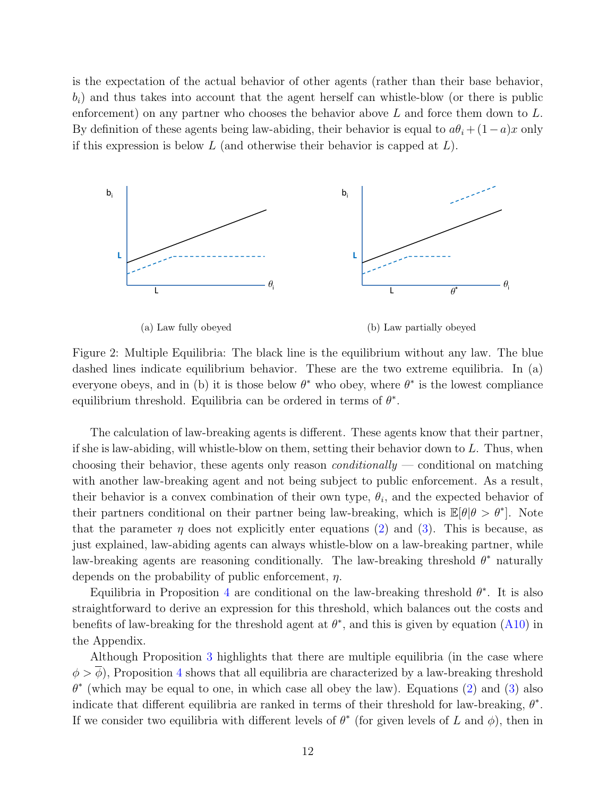is the expectation of the actual behavior of other agents (rather than their base behavior,  $b_i$ ) and thus takes into account that the agent herself can whistle-blow (or there is public enforcement) on any partner who chooses the behavior above  $L$  and force them down to  $L$ . By definition of these agents being law-abiding, their behavior is equal to  $a\theta_i + (1-a)x$  only if this expression is below  $L$  (and otherwise their behavior is capped at  $L$ ).

<span id="page-13-0"></span>

Figure 2: Multiple Equilibria: The black line is the equilibrium without any law. The blue dashed lines indicate equilibrium behavior. These are the two extreme equilibria. In (a) everyone obeys, and in (b) it is those below  $\theta^*$  who obey, where  $\theta^*$  is the lowest compliance equilibrium threshold. Equilibria can be ordered in terms of  $\theta^*$ .

The calculation of law-breaking agents is different. These agents know that their partner, if she is law-abiding, will whistle-blow on them, setting their behavior down to L. Thus, when choosing their behavior, these agents only reason *conditionally* — conditional on matching with another law-breaking agent and not being subject to public enforcement. As a result, their behavior is a convex combination of their own type,  $\theta_i$ , and the expected behavior of their partners conditional on their partner being law-breaking, which is  $\mathbb{E}[\theta | \theta > \theta^*]$ . Note that the parameter  $\eta$  does not explicitly enter equations [\(2\)](#page-12-3) and [\(3\)](#page-12-4). This is because, as just explained, law-abiding agents can always whistle-blow on a law-breaking partner, while law-breaking agents are reasoning conditionally. The law-breaking threshold  $\theta^*$  naturally depends on the probability of public enforcement,  $\eta$ .

Equilibria in Proposition [4](#page-12-0) are conditional on the law-breaking threshold  $\theta^*$ . It is also straightforward to derive an expression for this threshold, which balances out the costs and benefits of law-breaking for the threshold agent at  $\theta^*$ , and this is given by equation [\(A10\)](#page-34-0) in the Appendix.

Although Proposition [3](#page-11-1) highlights that there are multiple equilibria (in the case where  $\phi > \overline{\phi}$ ), Proposition [4](#page-12-0) shows that all equilibria are characterized by a law-breaking threshold  $\theta^*$  (which may be equal to one, in which case all obey the law). Equations [\(2\)](#page-12-3) and [\(3\)](#page-12-4) also indicate that different equilibria are ranked in terms of their threshold for law-breaking,  $\theta^*$ . If we consider two equilibria with different levels of  $\theta^*$  (for given levels of L and  $\phi$ ), then in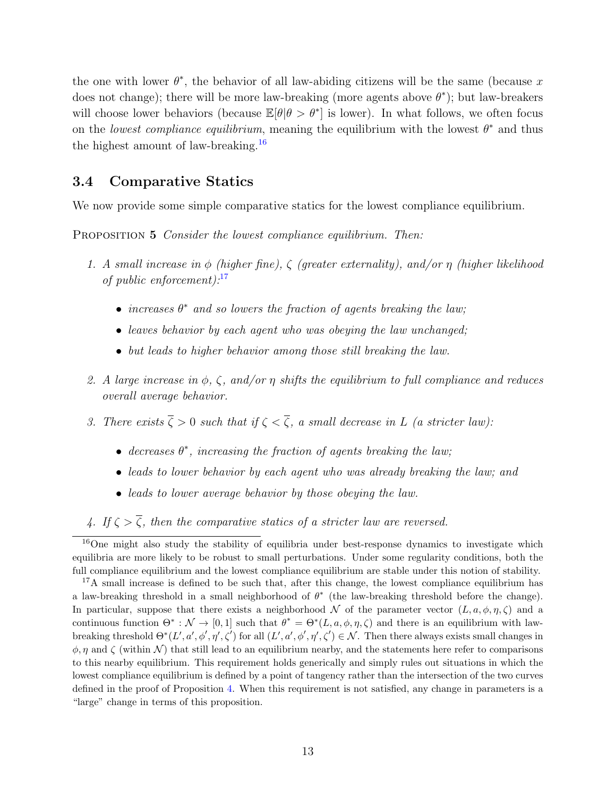the one with lower  $\theta^*$ , the behavior of all law-abiding citizens will be the same (because x does not change); there will be more law-breaking (more agents above  $\theta^*$ ); but law-breakers will choose lower behaviors (because  $\mathbb{E}[\theta | \theta > \theta^*]$  is lower). In what follows, we often focus on the lowest compliance equilibrium, meaning the equilibrium with the lowest  $\theta^*$  and thus the highest amount of law-breaking.<sup>[16](#page-14-0)</sup>

#### 3.4 Comparative Statics

<span id="page-14-2"></span>We now provide some simple comparative statics for the lowest compliance equilibrium.

PROPOSITION 5 Consider the lowest compliance equilibrium. Then:

- 1. A small increase in  $\phi$  (higher fine),  $\zeta$  (greater externality), and/or  $\eta$  (higher likelihood of public enforcement): $17$ 
	- increases  $\theta^*$  and so lowers the fraction of agents breaking the law;
	- leaves behavior by each agent who was obeying the law unchanged:
	- but leads to higher behavior among those still breaking the law.
- 2. A large increase in  $\phi$ ,  $\zeta$ , and/or  $\eta$  shifts the equilibrium to full compliance and reduces overall average behavior.
- 3. There exists  $\overline{\zeta} > 0$  such that if  $\zeta < \overline{\zeta}$ , a small decrease in L (a stricter law):
	- decreases  $\theta^*$ , increasing the fraction of agents breaking the law;
	- leads to lower behavior by each agent who was already breaking the law; and
	- leads to lower average behavior by those obeying the law.

4. If  $\zeta > \overline{\zeta}$ , then the comparative statics of a stricter law are reversed.

<span id="page-14-0"></span><sup>&</sup>lt;sup>16</sup>One might also study the stability of equilibria under best-response dynamics to investigate which equilibria are more likely to be robust to small perturbations. Under some regularity conditions, both the full compliance equilibrium and the lowest compliance equilibrium are stable under this notion of stability.

<span id="page-14-1"></span><sup>&</sup>lt;sup>17</sup>A small increase is defined to be such that, after this change, the lowest compliance equilibrium has a law-breaking threshold in a small neighborhood of  $\theta^*$  (the law-breaking threshold before the change). In particular, suppose that there exists a neighborhood N of the parameter vector  $(L, a, \phi, \eta, \zeta)$  and a continuous function  $\Theta^* : \mathcal{N} \to [0,1]$  such that  $\theta^* = \Theta^*(L, a, \phi, \eta, \zeta)$  and there is an equilibrium with lawbreaking threshold  $\Theta^*(L',a',\phi',\eta',\zeta')$  for all  $(L',a',\phi',\eta',\zeta') \in \mathcal{N}$ . Then there always exists small changes in  $\phi, \eta$  and  $\zeta$  (within N) that still lead to an equilibrium nearby, and the statements here refer to comparisons to this nearby equilibrium. This requirement holds generically and simply rules out situations in which the lowest compliance equilibrium is defined by a point of tangency rather than the intersection of the two curves defined in the proof of Proposition [4.](#page-12-0) When this requirement is not satisfied, any change in parameters is a "large" change in terms of this proposition.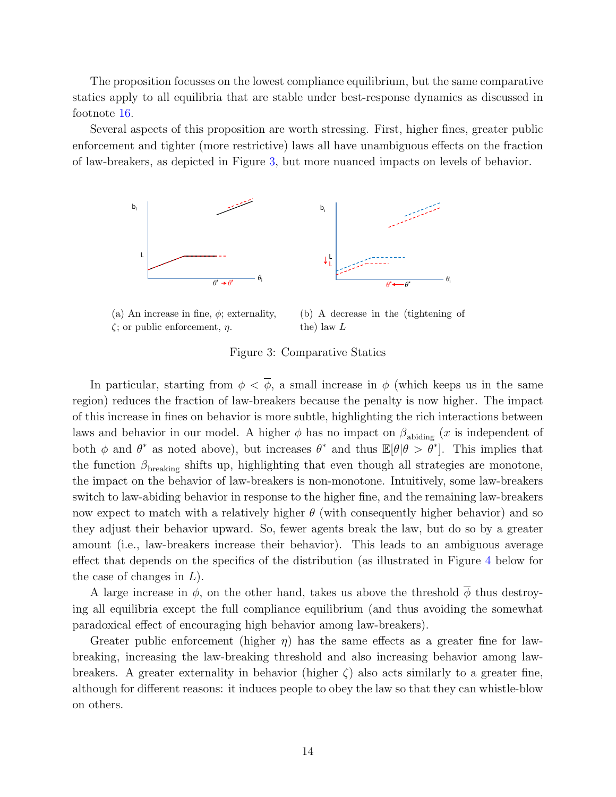The proposition focusses on the lowest compliance equilibrium, but the same comparative statics apply to all equilibria that are stable under best-response dynamics as discussed in footnote [16.](#page-14-0)

<span id="page-15-0"></span>Several aspects of this proposition are worth stressing. First, higher fines, greater public enforcement and tighter (more restrictive) laws all have unambiguous effects on the fraction of law-breakers, as depicted in Figure [3,](#page-15-0) but more nuanced impacts on levels of behavior.



(a) An increase in fine,  $\phi$ ; externality,  $\zeta$ ; or public enforcement,  $\eta$ .

(b) A decrease in the (tightening of the) law L

Figure 3: Comparative Statics

In particular, starting from  $\phi < \overline{\phi}$ , a small increase in  $\phi$  (which keeps us in the same region) reduces the fraction of law-breakers because the penalty is now higher. The impact of this increase in fines on behavior is more subtle, highlighting the rich interactions between laws and behavior in our model. A higher  $\phi$  has no impact on  $\beta_{\text{abiding}}$  (*x* is independent of both  $\phi$  and  $\theta^*$  as noted above), but increases  $\theta^*$  and thus  $\mathbb{E}[\theta|\theta > \theta^*]$ . This implies that the function  $\beta_{\text{breaking}}$  shifts up, highlighting that even though all strategies are monotone, the impact on the behavior of law-breakers is non-monotone. Intuitively, some law-breakers switch to law-abiding behavior in response to the higher fine, and the remaining law-breakers now expect to match with a relatively higher  $\theta$  (with consequently higher behavior) and so they adjust their behavior upward. So, fewer agents break the law, but do so by a greater amount (i.e., law-breakers increase their behavior). This leads to an ambiguous average effect that depends on the specifics of the distribution (as illustrated in Figure [4](#page-16-0) below for the case of changes in  $L$ ).

A large increase in  $\phi$ , on the other hand, takes us above the threshold  $\phi$  thus destroying all equilibria except the full compliance equilibrium (and thus avoiding the somewhat paradoxical effect of encouraging high behavior among law-breakers).

Greater public enforcement (higher  $\eta$ ) has the same effects as a greater fine for lawbreaking, increasing the law-breaking threshold and also increasing behavior among lawbreakers. A greater externality in behavior (higher  $\zeta$ ) also acts similarly to a greater fine, although for different reasons: it induces people to obey the law so that they can whistle-blow on others.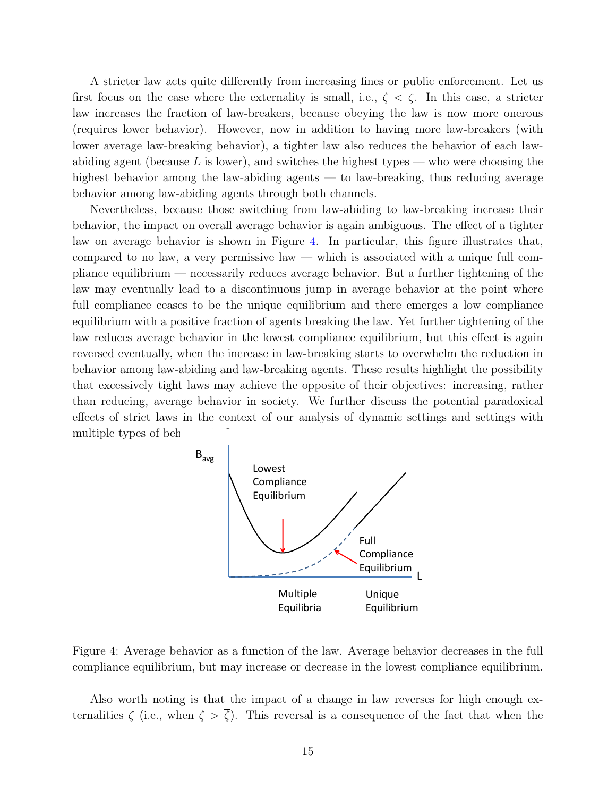A stricter law acts quite differently from increasing fines or public enforcement. Let us first focus on the case where the externality is small, i.e.,  $\zeta < \overline{\zeta}$ . In this case, a stricter law increases the fraction of law-breakers, because obeying the law is now more onerous (requires lower behavior). However, now in addition to having more law-breakers (with lower average law-breaking behavior), a tighter law also reduces the behavior of each lawabiding agent (because  $L$  is lower), and switches the highest types — who were choosing the highest behavior among the law-abiding agents — to law-breaking, thus reducing average behavior among law-abiding agents through both channels.

Nevertheless, because those switching from law-abiding to law-breaking increase their behavior, the impact on overall average behavior is again ambiguous. The effect of a tighter law on average behavior is shown in Figure [4.](#page-16-0) In particular, this figure illustrates that, compared to no law, a very permissive law — which is associated with a unique full compliance equilibrium — necessarily reduces average behavior. But a further tightening of the law may eventually lead to a discontinuous jump in average behavior at the point where full compliance ceases to be the unique equilibrium and there emerges a low compliance equilibrium with a positive fraction of agents breaking the law. Yet further tightening of the law reduces average behavior in the lowest compliance equilibrium, but this effect is again reversed eventually, when the increase in law-breaking starts to overwhelm the reduction in behavior among law-abiding and law-breaking agents. These results highlight the possibility that excessively tight laws may achieve the opposite of their objectives: increasing, rather than reducing, average behavior in society. We further discuss the potential paradoxical effects of strict laws in the context of our analysis of dynamic settings and settings with multiple types of beh

<span id="page-16-0"></span>

Figure 4: Average behavior as a function of the law. Average behavior decreases in the full compliance equilibrium, but may increase or decrease in the lowest compliance equilibrium.

Also worth noting is that the impact of a change in law reverses for high enough externalities  $\zeta$  (i.e., when  $\zeta > \overline{\zeta}$ ). This reversal is a consequence of the fact that when the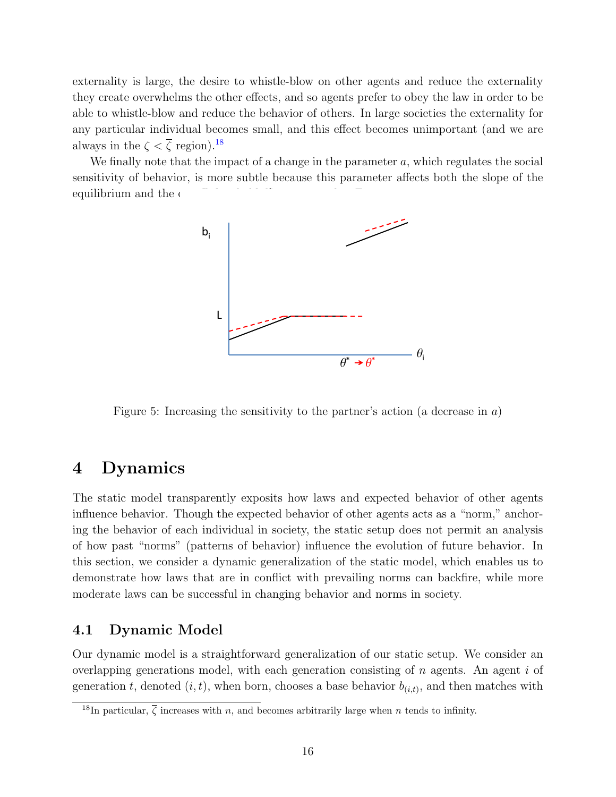externality is large, the desire to whistle-blow on other agents and reduce the externality they create overwhelms the other effects, and so agents prefer to obey the law in order to be able to whistle-blow and reduce the behavior of others. In large societies the externality for any particular individual becomes small, and this effect becomes unimportant (and we are always in the  $\zeta < \overline{\zeta}$  region).<sup>[18](#page-17-1)</sup>

<span id="page-17-2"></span>We finally note that the impact of a change in the parameter  $a$ , which regulates the social sensitivity of behavior, is more subtle because this parameter affects both the slope of the equilibrium and the  $\epsilon$ 



Figure 5: Increasing the sensitivity to the partner's action (a decrease in  $a$ )

# <span id="page-17-0"></span>4 Dynamics

The static model transparently exposits how laws and expected behavior of other agents influence behavior. Though the expected behavior of other agents acts as a "norm," anchoring the behavior of each individual in society, the static setup does not permit an analysis of how past "norms" (patterns of behavior) influence the evolution of future behavior. In this section, we consider a dynamic generalization of the static model, which enables us to demonstrate how laws that are in conflict with prevailing norms can backfire, while more moderate laws can be successful in changing behavior and norms in society.

### 4.1 Dynamic Model

Our dynamic model is a straightforward generalization of our static setup. We consider an overlapping generations model, with each generation consisting of  $n$  agents. An agent  $i$  of generation t, denoted  $(i, t)$ , when born, chooses a base behavior  $b_{(i,t)}$ , and then matches with

<span id="page-17-1"></span><sup>&</sup>lt;sup>18</sup>In particular,  $\overline{\zeta}$  increases with *n*, and becomes arbitrarily large when *n* tends to infinity.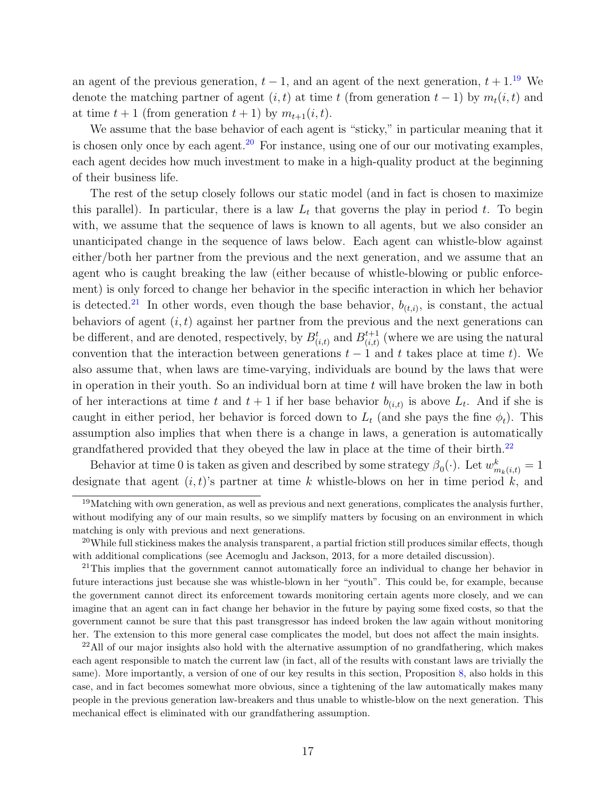an agent of the previous generation,  $t - 1$ , and an agent of the next generation,  $t + 1$ .<sup>[19](#page-18-0)</sup> We denote the matching partner of agent  $(i, t)$  at time t (from generation  $t - 1$ ) by  $m_t(i, t)$  and at time  $t + 1$  (from generation  $t + 1$ ) by  $m_{t+1}(i, t)$ .

We assume that the base behavior of each agent is "sticky," in particular meaning that it is chosen only once by each agent.<sup>[20](#page-18-1)</sup> For instance, using one of our our motivating examples, each agent decides how much investment to make in a high-quality product at the beginning of their business life.

The rest of the setup closely follows our static model (and in fact is chosen to maximize this parallel). In particular, there is a law  $L_t$  that governs the play in period t. To begin with, we assume that the sequence of laws is known to all agents, but we also consider an unanticipated change in the sequence of laws below. Each agent can whistle-blow against either/both her partner from the previous and the next generation, and we assume that an agent who is caught breaking the law (either because of whistle-blowing or public enforcement) is only forced to change her behavior in the specific interaction in which her behavior is detected.<sup>[21](#page-18-2)</sup> In other words, even though the base behavior,  $b_{(t,i)}$ , is constant, the actual behaviors of agent  $(i, t)$  against her partner from the previous and the next generations can be different, and are denoted, respectively, by  $B_{(i,t)}^t$  and  $B_{(i,t)}^{t+1}$  $_{(i,t)}^{t+1}$  (where we are using the natural convention that the interaction between generations  $t - 1$  and t takes place at time t). We also assume that, when laws are time-varying, individuals are bound by the laws that were in operation in their youth. So an individual born at time  $t$  will have broken the law in both of her interactions at time t and  $t+1$  if her base behavior  $b_{(i,t)}$  is above  $L_t$ . And if she is caught in either period, her behavior is forced down to  $L_t$  (and she pays the fine  $\phi_t$ ). This assumption also implies that when there is a change in laws, a generation is automatically grandfathered provided that they obeyed the law in place at the time of their birth.[22](#page-18-3)

Behavior at time 0 is taken as given and described by some strategy  $\beta_0(\cdot)$ . Let  $w_{m_k(i,t)}^k = 1$ designate that agent  $(i, t)$ 's partner at time k whistle-blows on her in time period k, and

<span id="page-18-0"></span><sup>&</sup>lt;sup>19</sup>Matching with own generation, as well as previous and next generations, complicates the analysis further, without modifying any of our main results, so we simplify matters by focusing on an environment in which matching is only with previous and next generations.

<span id="page-18-1"></span> $20$ While full stickiness makes the analysis transparent, a partial friction still produces similar effects, though with additional complications (see Acemoglu and Jackson, 2013, for a more detailed discussion).

<span id="page-18-2"></span><sup>&</sup>lt;sup>21</sup>This implies that the government cannot automatically force an individual to change her behavior in future interactions just because she was whistle-blown in her "youth". This could be, for example, because the government cannot direct its enforcement towards monitoring certain agents more closely, and we can imagine that an agent can in fact change her behavior in the future by paying some fixed costs, so that the government cannot be sure that this past transgressor has indeed broken the law again without monitoring her. The extension to this more general case complicates the model, but does not affect the main insights.

<span id="page-18-3"></span> $^{22}$ All of our major insights also hold with the alternative assumption of no grandfathering, which makes each agent responsible to match the current law (in fact, all of the results with constant laws are trivially the same). More importantly, a version of one of our key results in this section, Proposition [8,](#page-21-0) also holds in this case, and in fact becomes somewhat more obvious, since a tightening of the law automatically makes many people in the previous generation law-breakers and thus unable to whistle-blow on the next generation. This mechanical effect is eliminated with our grandfathering assumption.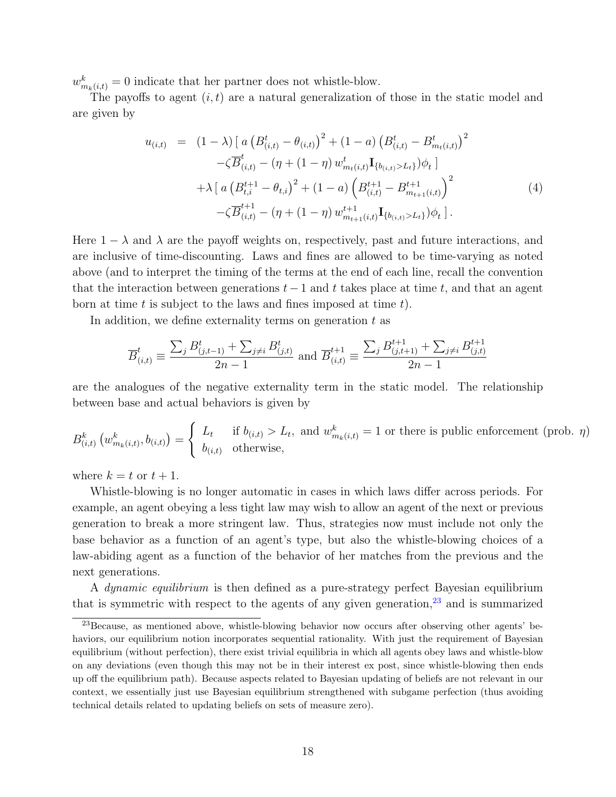$w_{m_k(i,t)}^k = 0$  indicate that her partner does not whistle-blow.

The payoffs to agent  $(i, t)$  are a natural generalization of those in the static model and are given by

<span id="page-19-1"></span>
$$
u_{(i,t)} = (1 - \lambda) \left[ a \left( B_{(i,t)}^t - \theta_{(i,t)} \right)^2 + (1 - a) \left( B_{(i,t)}^t - B_{m_t(i,t)}^t \right)^2 - \zeta \overline{B}_{(i,t)}^t - (\eta + (1 - \eta) w_{m_t(i,t)}^t \mathbf{I}_{\{b_{(i,t)} > L_t\}}) \phi_t \right] + \lambda \left[ a \left( B_{t,i}^{t+1} - \theta_{t,i} \right)^2 + (1 - a) \left( B_{(i,t)}^{t+1} - B_{m_{t+1}(i,t)}^{t+1} \right)^2 - \zeta \overline{B}_{(i,t)}^{t+1} - (\eta + (1 - \eta) w_{m_{t+1}(i,t)}^{t+1} \mathbf{I}_{\{b_{(i,t)} > L_t\}}) \phi_t \right]. \tag{4}
$$

Here  $1 - \lambda$  and  $\lambda$  are the payoff weights on, respectively, past and future interactions, and are inclusive of time-discounting. Laws and fines are allowed to be time-varying as noted above (and to interpret the timing of the terms at the end of each line, recall the convention that the interaction between generations  $t-1$  and t takes place at time t, and that an agent born at time t is subject to the laws and fines imposed at time  $t$ ).

In addition, we define externality terms on generation  $t$  as

$$
\overline{B}_{(i,t)}^t \equiv \frac{\sum_j B_{(j,t-1)}^t + \sum_{j \neq i} B_{(j,t)}^t}{2n - 1}
$$
 and  $\overline{B}_{(i,t)}^{t+1} \equiv \frac{\sum_j B_{(j,t+1)}^{t+1} + \sum_{j \neq i} B_{(j,t)}^{t+1}}{2n - 1}$ 

are the analogues of the negative externality term in the static model. The relationship between base and actual behaviors is given by

$$
B_{(i,t)}^k \left( w_{m_k(i,t)}^k, b_{(i,t)} \right) = \begin{cases} L_t & \text{if } b_{(i,t)} > L_t, \text{ and } w_{m_k(i,t)}^k = 1 \text{ or there is public enforcement (prob. } \eta) \\ b_{(i,t)} & \text{otherwise,} \end{cases}
$$

where  $k = t$  or  $t + 1$ .

Whistle-blowing is no longer automatic in cases in which laws differ across periods. For example, an agent obeying a less tight law may wish to allow an agent of the next or previous generation to break a more stringent law. Thus, strategies now must include not only the base behavior as a function of an agent's type, but also the whistle-blowing choices of a law-abiding agent as a function of the behavior of her matches from the previous and the next generations.

A *dynamic equilibrium* is then defined as a pure-strategy perfect Bayesian equilibrium that is symmetric with respect to the agents of any given generation,  $23$  and is summarized

<span id="page-19-0"></span><sup>23</sup>Because, as mentioned above, whistle-blowing behavior now occurs after observing other agents' behaviors, our equilibrium notion incorporates sequential rationality. With just the requirement of Bayesian equilibrium (without perfection), there exist trivial equilibria in which all agents obey laws and whistle-blow on any deviations (even though this may not be in their interest ex post, since whistle-blowing then ends up off the equilibrium path). Because aspects related to Bayesian updating of beliefs are not relevant in our context, we essentially just use Bayesian equilibrium strengthened with subgame perfection (thus avoiding technical details related to updating beliefs on sets of measure zero).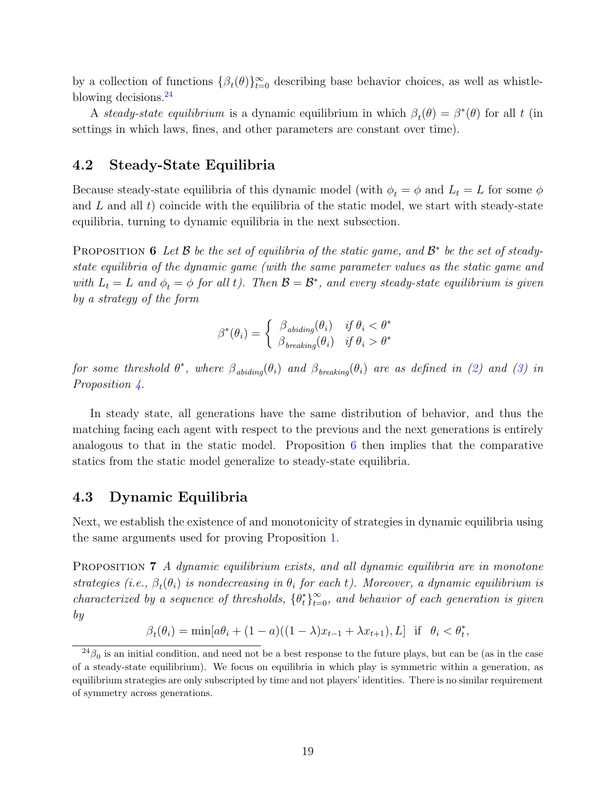by a collection of functions  $\{\beta_t(\theta)\}_{t=0}^{\infty}$  describing base behavior choices, as well as whistleblowing decisions.[24](#page-20-0)

A steady-state equilibrium is a dynamic equilibrium in which  $\beta_t(\theta) = \beta^*(\theta)$  for all t (in settings in which laws, fines, and other parameters are constant over time).

#### 4.2 Steady-State Equilibria

Because steady-state equilibria of this dynamic model (with  $\phi_t = \phi$  and  $L_t = L$  for some  $\phi$ and  $L$  and all  $t$ ) coincide with the equilibria of the static model, we start with steady-state equilibria, turning to dynamic equilibria in the next subsection.

<span id="page-20-1"></span>**PROPOSITION 6** Let  $\mathcal{B}$  be the set of equilibria of the static game, and  $\mathcal{B}^*$  be the set of steadystate equilibria of the dynamic game (with the same parameter values as the static game and with  $L_t = L$  and  $\phi_t = \phi$  for all t). Then  $\mathcal{B} = \mathcal{B}^*$ , and every steady-state equilibrium is given by a strategy of the form

$$
\beta^*(\theta_i) = \begin{cases} \beta_{\text{abiding}}(\theta_i) & \text{if } \theta_i < \theta^* \\ \beta_{\text{breaking}}(\theta_i) & \text{if } \theta_i > \theta^* \end{cases}
$$

for some threshold  $\theta^*$ , where  $\beta_{\text{abiding}}(\theta_i)$  and  $\beta_{\text{breaking}}(\theta_i)$  are as defined in [\(2\)](#page-12-3) and [\(3\)](#page-12-4) in Proposition [4.](#page-12-0)

In steady state, all generations have the same distribution of behavior, and thus the matching facing each agent with respect to the previous and the next generations is entirely analogous to that in the static model. Proposition  $6$  then implies that the comparative statics from the static model generalize to steady-state equilibria.

#### 4.3 Dynamic Equilibria

Next, we establish the existence of and monotonicity of strategies in dynamic equilibria using the same arguments used for proving Proposition [1.](#page-10-3)

<span id="page-20-2"></span>PROPOSITION 7 A dynamic equilibrium exists, and all dynamic equilibria are in monotone strategies (i.e.,  $\beta_t(\theta_i)$  is nondecreasing in  $\theta_i$  for each t). Moreover, a dynamic equilibrium is characterized by a sequence of thresholds,  $\{\theta_t^*\}_{t=0}^{\infty}$ , and behavior of each generation is given by

 $\beta_t(\theta_i) = \min[a\theta_i + (1-a)((1-\lambda)x_{t-1} + \lambda x_{t+1}), L]$  if  $\theta_i < \theta_t^*$ ,

<span id="page-20-0"></span> $^{24}\beta_0$  is an initial condition, and need not be a best response to the future plays, but can be (as in the case of a steady-state equilibrium). We focus on equilibria in which play is symmetric within a generation, as equilibrium strategies are only subscripted by time and not players' identities. There is no similar requirement of symmetry across generations.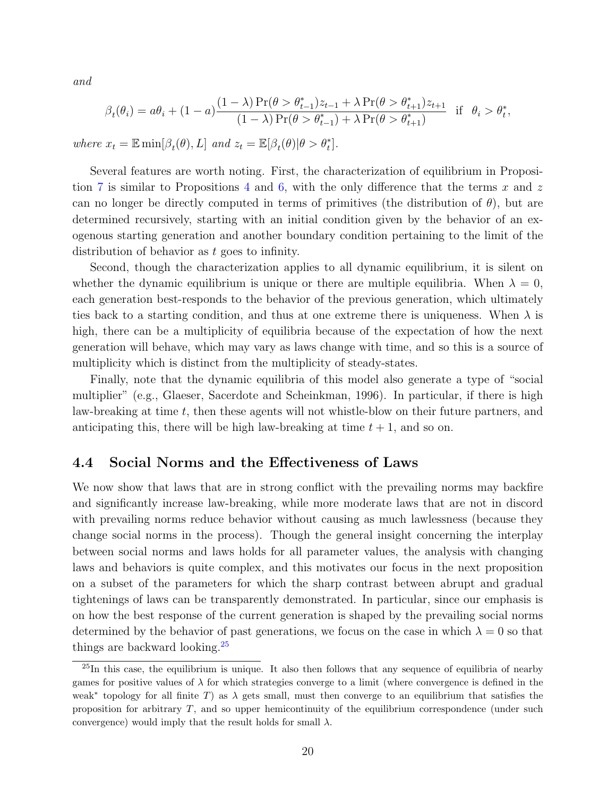and

$$
\beta_t(\theta_i) = a\theta_i + (1 - a) \frac{(1 - \lambda) \Pr(\theta > \theta_{t-1}^*) z_{t-1} + \lambda \Pr(\theta > \theta_{t+1}^*) z_{t+1}}{(1 - \lambda) \Pr(\theta > \theta_{t-1}^*) + \lambda \Pr(\theta > \theta_{t+1}^*)} \text{ if } \theta_i > \theta_t^*,
$$

where  $x_t = \mathbb{E} \min[\beta_t(\theta), L]$  and  $z_t = \mathbb{E}[\beta_t(\theta)|\theta > \theta_t^*].$ 

Several features are worth noting. First, the characterization of equilibrium in Proposi-tion [7](#page-20-2) is similar to Propositions [4](#page-12-0) and [6,](#page-20-1) with the only difference that the terms x and z can no longer be directly computed in terms of primitives (the distribution of  $\theta$ ), but are determined recursively, starting with an initial condition given by the behavior of an exogenous starting generation and another boundary condition pertaining to the limit of the distribution of behavior as t goes to infinity.

Second, though the characterization applies to all dynamic equilibrium, it is silent on whether the dynamic equilibrium is unique or there are multiple equilibria. When  $\lambda = 0$ , each generation best-responds to the behavior of the previous generation, which ultimately ties back to a starting condition, and thus at one extreme there is uniqueness. When  $\lambda$  is high, there can be a multiplicity of equilibria because of the expectation of how the next generation will behave, which may vary as laws change with time, and so this is a source of multiplicity which is distinct from the multiplicity of steady-states.

Finally, note that the dynamic equilibria of this model also generate a type of "social multiplier" (e.g., Glaeser, Sacerdote and Scheinkman, 1996). In particular, if there is high law-breaking at time t, then these agents will not whistle-blow on their future partners, and anticipating this, there will be high law-breaking at time  $t + 1$ , and so on.

#### 4.4 Social Norms and the Effectiveness of Laws

We now show that laws that are in strong conflict with the prevailing norms may backfire and significantly increase law-breaking, while more moderate laws that are not in discord with prevailing norms reduce behavior without causing as much lawlessness (because they change social norms in the process). Though the general insight concerning the interplay between social norms and laws holds for all parameter values, the analysis with changing laws and behaviors is quite complex, and this motivates our focus in the next proposition on a subset of the parameters for which the sharp contrast between abrupt and gradual tightenings of laws can be transparently demonstrated. In particular, since our emphasis is on how the best response of the current generation is shaped by the prevailing social norms determined by the behavior of past generations, we focus on the case in which  $\lambda = 0$  so that things are backward looking.[25](#page-21-1)

<span id="page-21-1"></span><span id="page-21-0"></span><sup>&</sup>lt;sup>25</sup>In this case, the equilibrium is unique. It also then follows that any sequence of equilibria of nearby games for positive values of  $\lambda$  for which strategies converge to a limit (where convergence is defined in the weak<sup>∗</sup> topology for all finite T) as  $\lambda$  gets small, must then converge to an equilibrium that satisfies the proposition for arbitrary  $T$ , and so upper hemicontinuity of the equilibrium correspondence (under such convergence) would imply that the result holds for small  $\lambda$ .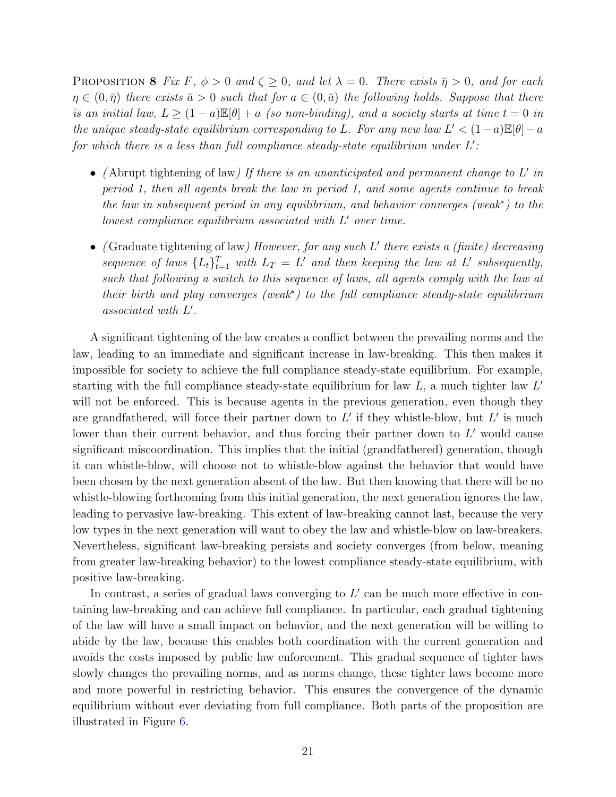PROPOSITION 8 Fix F,  $\phi > 0$  and  $\zeta \geq 0$ , and let  $\lambda = 0$ . There exists  $\bar{\eta} > 0$ , and for each  $\eta \in (0, \bar{\eta})$  there exists  $\bar{a} > 0$  such that for  $a \in (0, \bar{a})$  the following holds. Suppose that there is an initial law,  $L \geq (1-a)\mathbb{E}[\theta] + a$  (so non-binding), and a society starts at time  $t = 0$  in the unique steady-state equilibrium corresponding to L. For any new law  $L' < (1-a) \mathbb{E}[\theta] - a$ for which there is a less than full compliance steady-state equilibrium under  $L'$ :

- (Abrupt tightening of law) If there is an unanticipated and permanent change to  $L'$  in period 1, then all agents break the law in period 1, and some agents continue to break the law in subsequent period in any equilibrium, and behavior converges (weak<sup>∗</sup> ) to the  $lowest\ compliance\ equilibrium\ associated\ with\ L'\ over\ time.$
- (Graduate tightening of law) However, for any such  $L'$  there exists a (finite) decreasing sequence of laws  $\{L_t\}_{t=1}^T$  with  $L_T = L'$  and then keeping the law at L' subsequently, such that following a switch to this sequence of laws, all agents comply with the law at their birth and play converges (weak<sup>∗</sup> ) to the full compliance steady-state equilibrium  $associated$  with  $L'$ .

A significant tightening of the law creates a conflict between the prevailing norms and the law, leading to an immediate and significant increase in law-breaking. This then makes it impossible for society to achieve the full compliance steady-state equilibrium. For example, starting with the full compliance steady-state equilibrium for law  $L$ , a much tighter law  $L'$ will not be enforced. This is because agents in the previous generation, even though they are grandfathered, will force their partner down to  $L'$  if they whistle-blow, but  $L'$  is much lower than their current behavior, and thus forcing their partner down to  $L'$  would cause significant miscoordination. This implies that the initial (grandfathered) generation, though it can whistle-blow, will choose not to whistle-blow against the behavior that would have been chosen by the next generation absent of the law. But then knowing that there will be no whistle-blowing forthcoming from this initial generation, the next generation ignores the law, leading to pervasive law-breaking. This extent of law-breaking cannot last, because the very low types in the next generation will want to obey the law and whistle-blow on law-breakers. Nevertheless, significant law-breaking persists and society converges (from below, meaning from greater law-breaking behavior) to the lowest compliance steady-state equilibrium, with positive law-breaking.

In contrast, a series of gradual laws converging to  $L'$  can be much more effective in containing law-breaking and can achieve full compliance. In particular, each gradual tightening of the law will have a small impact on behavior, and the next generation will be willing to abide by the law, because this enables both coordination with the current generation and avoids the costs imposed by public law enforcement. This gradual sequence of tighter laws slowly changes the prevailing norms, and as norms change, these tighter laws become more and more powerful in restricting behavior. This ensures the convergence of the dynamic equilibrium without ever deviating from full compliance. Both parts of the proposition are illustrated in Figure [6.](#page-23-2)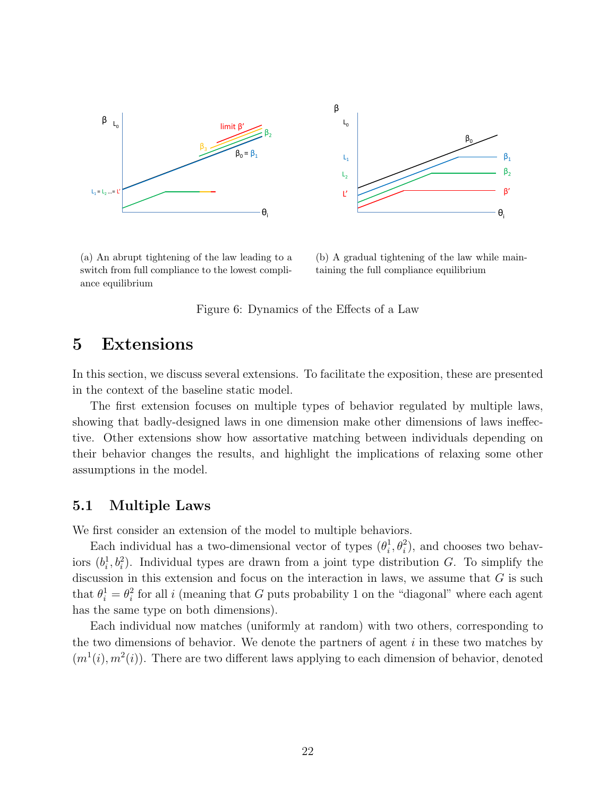<span id="page-23-2"></span>

(a) An abrupt tightening of the law leading to a switch from full compliance to the lowest compliance equilibrium

(b) A gradual tightening of the law while maintaining the full compliance equilibrium

Figure 6: Dynamics of the Effects of a Law

### <span id="page-23-0"></span>5 Extensions

In this section, we discuss several extensions. To facilitate the exposition, these are presented in the context of the baseline static model.

The first extension focuses on multiple types of behavior regulated by multiple laws, showing that badly-designed laws in one dimension make other dimensions of laws ineffective. Other extensions show how assortative matching between individuals depending on their behavior changes the results, and highlight the implications of relaxing some other assumptions in the model.

#### <span id="page-23-1"></span>5.1 Multiple Laws

We first consider an extension of the model to multiple behaviors.

Each individual has a two-dimensional vector of types  $(\theta_i)$  $\hat{p}_i^1, \theta_i^2$ , and chooses two behaviors  $(b_i^1, b_i^2)$ . Individual types are drawn from a joint type distribution G. To simplify the discussion in this extension and focus on the interaction in laws, we assume that  $G$  is such that  $\theta_i^1 = \theta_i^2$  $i<sup>i</sup>$  for all i (meaning that G puts probability 1 on the "diagonal" where each agent has the same type on both dimensions).

Each individual now matches (uniformly at random) with two others, corresponding to the two dimensions of behavior. We denote the partners of agent  $i$  in these two matches by  $(m^1(i), m^2(i))$ . There are two different laws applying to each dimension of behavior, denoted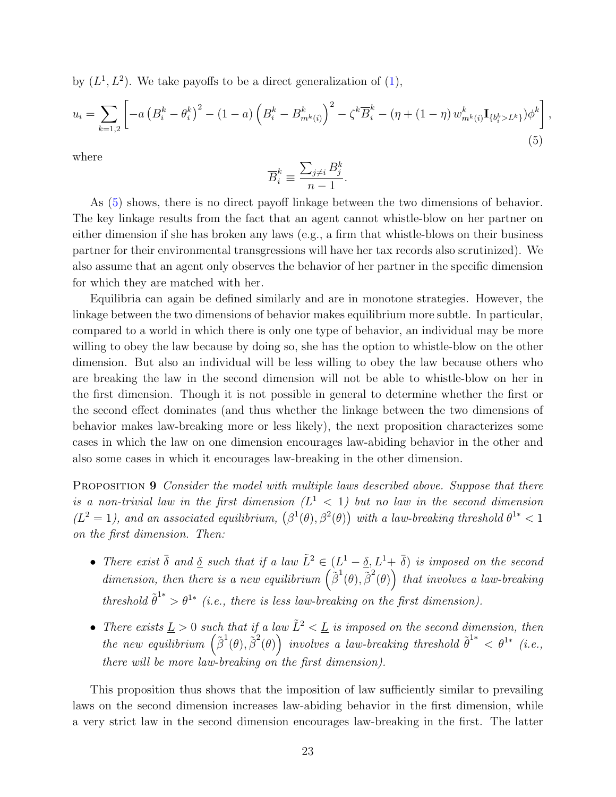by  $(L^1, L^2)$ . We take payoffs to be a direct generalization of  $(1)$ ,

<span id="page-24-0"></span>
$$
u_{i} = \sum_{k=1,2} \left[ -a \left( B_{i}^{k} - \theta_{i}^{k} \right)^{2} - (1-a) \left( B_{i}^{k} - B_{m^{k}(i)}^{k} \right)^{2} - \zeta^{k} \overline{B}_{i}^{k} - (\eta + (1-\eta) w_{m^{k}(i)}^{k} \mathbf{I}_{\{b_{i}^{k} > L^{k}\}}) \phi^{k} \right]
$$
(5)

,

where

$$
\overline{B}_i^k \equiv \frac{\sum_{j \neq i} B_j^k}{n-1}.
$$

As [\(5\)](#page-24-0) shows, there is no direct payoff linkage between the two dimensions of behavior. The key linkage results from the fact that an agent cannot whistle-blow on her partner on either dimension if she has broken any laws (e.g., a firm that whistle-blows on their business partner for their environmental transgressions will have her tax records also scrutinized). We also assume that an agent only observes the behavior of her partner in the specific dimension for which they are matched with her.

Equilibria can again be defined similarly and are in monotone strategies. However, the linkage between the two dimensions of behavior makes equilibrium more subtle. In particular, compared to a world in which there is only one type of behavior, an individual may be more willing to obey the law because by doing so, she has the option to whistle-blow on the other dimension. But also an individual will be less willing to obey the law because others who are breaking the law in the second dimension will not be able to whistle-blow on her in the first dimension. Though it is not possible in general to determine whether the first or the second effect dominates (and thus whether the linkage between the two dimensions of behavior makes law-breaking more or less likely), the next proposition characterizes some cases in which the law on one dimension encourages law-abiding behavior in the other and also some cases in which it encourages law-breaking in the other dimension.

<span id="page-24-1"></span>PROPOSITION 9 Consider the model with multiple laws described above. Suppose that there is a non-trivial law in the first dimension  $(L<sup>1</sup> < 1)$  but no law in the second dimension  $(L^2 = 1)$ , and an associated equilibrium,  $(\beta^1(\theta), \beta^2(\theta))$  with a law-breaking threshold  $\theta^{1*} < 1$ on the first dimension. Then:

- There exist  $\bar{\delta}$  and  $\underline{\delta}$  such that if a law  $\tilde{L}^2 \in (L^1 \underline{\delta}, L^1 + \bar{\delta})$  is imposed on the second dimension, then there is a new equilibrium  $(\tilde{\beta}^1(\theta), \tilde{\beta}^2(\theta))$  that involves a law-breaking threshold  $\tilde{\theta}^{1*} > \theta^{1*}$  (i.e., there is less law-breaking on the first dimension).
- There exists  $\underline{L} > 0$  such that if a law  $\tilde{L}^2 < \underline{L}$  is imposed on the second dimension, then the new equilibrium  $(\tilde{\beta}^1(\theta), \tilde{\beta}^2(\theta))$  involves a law-breaking threshold  $\tilde{\theta}^{1*} < \theta^{1*}$  (i.e., there will be more law-breaking on the first dimension).

This proposition thus shows that the imposition of law sufficiently similar to prevailing laws on the second dimension increases law-abiding behavior in the first dimension, while a very strict law in the second dimension encourages law-breaking in the first. The latter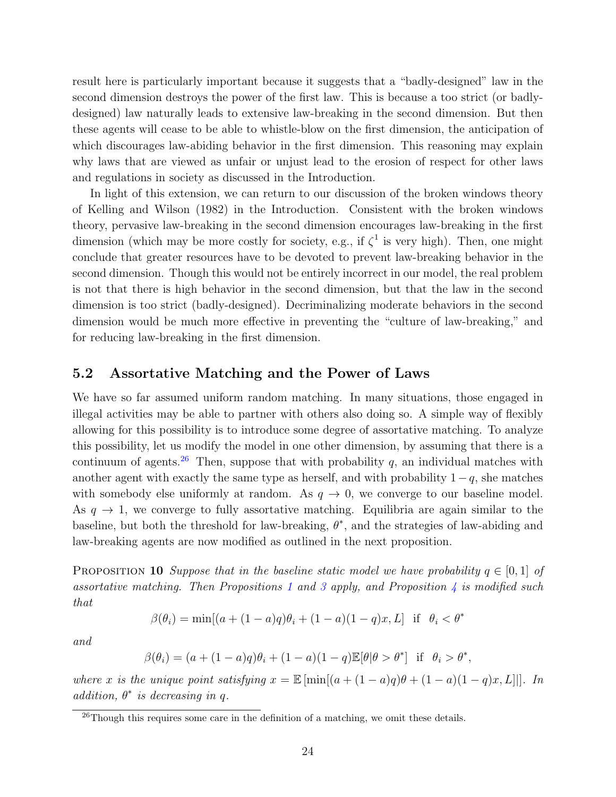result here is particularly important because it suggests that a "badly-designed" law in the second dimension destroys the power of the first law. This is because a too strict (or badlydesigned) law naturally leads to extensive law-breaking in the second dimension. But then these agents will cease to be able to whistle-blow on the first dimension, the anticipation of which discourages law-abiding behavior in the first dimension. This reasoning may explain why laws that are viewed as unfair or unjust lead to the erosion of respect for other laws and regulations in society as discussed in the Introduction.

In light of this extension, we can return to our discussion of the broken windows theory of Kelling and Wilson (1982) in the Introduction. Consistent with the broken windows theory, pervasive law-breaking in the second dimension encourages law-breaking in the first dimension (which may be more costly for society, e.g., if  $\zeta^1$  is very high). Then, one might conclude that greater resources have to be devoted to prevent law-breaking behavior in the second dimension. Though this would not be entirely incorrect in our model, the real problem is not that there is high behavior in the second dimension, but that the law in the second dimension is too strict (badly-designed). Decriminalizing moderate behaviors in the second dimension would be much more effective in preventing the "culture of law-breaking," and for reducing law-breaking in the first dimension.

#### 5.2 Assortative Matching and the Power of Laws

We have so far assumed uniform random matching. In many situations, those engaged in illegal activities may be able to partner with others also doing so. A simple way of flexibly allowing for this possibility is to introduce some degree of assortative matching. To analyze this possibility, let us modify the model in one other dimension, by assuming that there is a continuum of agents.<sup>[26](#page-25-0)</sup> Then, suppose that with probability q, an individual matches with another agent with exactly the same type as herself, and with probability  $1 - q$ , she matches with somebody else uniformly at random. As  $q \to 0$ , we converge to our baseline model. As  $q \to 1$ , we converge to fully assortative matching. Equilibria are again similar to the baseline, but both the threshold for law-breaking,  $\theta^*$ , and the strategies of law-abiding and law-breaking agents are now modified as outlined in the next proposition.

<span id="page-25-1"></span>PROPOSITION 10 Suppose that in the baseline static model we have probability  $q \in [0,1]$  of assortative matching. Then Propositions [1](#page-10-3) and [3](#page-11-1) apply, and Proposition [4](#page-12-0) is modified such that

$$
\beta(\theta_i) = \min[(a + (1 - a)q)\theta_i + (1 - a)(1 - q)x, L] \text{ if } \theta_i < \theta^*
$$

and

$$
\beta(\theta_i) = (a + (1 - a)q)\theta_i + (1 - a)(1 - q)\mathbb{E}[\theta | \theta > \theta^*] \text{ if } \theta_i > \theta^*,
$$

where x is the unique point satisfying  $x = \mathbb{E} [\min[(a + (1-a)q)\theta + (1-a)(1-q)x, L]]]$ . In addition,  $\theta^*$  is decreasing in q.

<span id="page-25-0"></span> $^{26}$ Though this requires some care in the definition of a matching, we omit these details.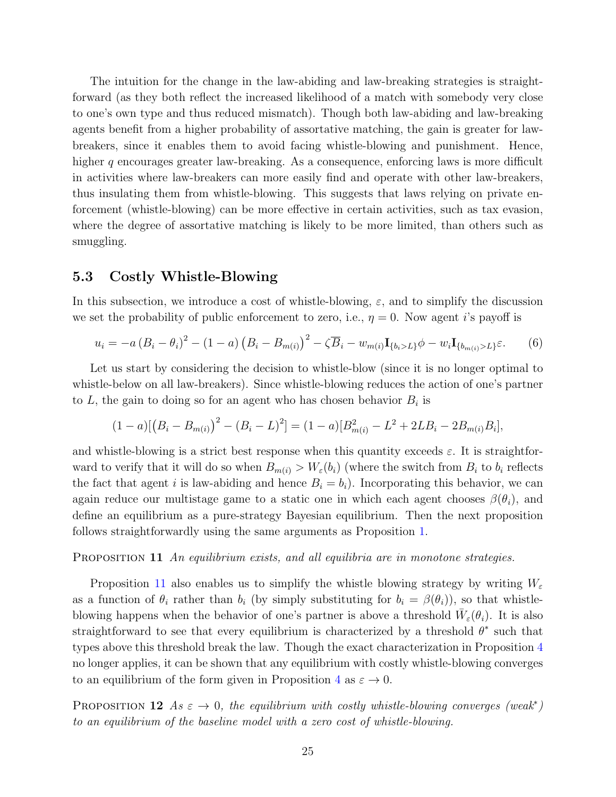The intuition for the change in the law-abiding and law-breaking strategies is straightforward (as they both reflect the increased likelihood of a match with somebody very close to one's own type and thus reduced mismatch). Though both law-abiding and law-breaking agents benefit from a higher probability of assortative matching, the gain is greater for lawbreakers, since it enables them to avoid facing whistle-blowing and punishment. Hence, higher q encourages greater law-breaking. As a consequence, enforcing laws is more difficult in activities where law-breakers can more easily find and operate with other law-breakers, thus insulating them from whistle-blowing. This suggests that laws relying on private enforcement (whistle-blowing) can be more effective in certain activities, such as tax evasion, where the degree of assortative matching is likely to be more limited, than others such as smuggling.

#### 5.3 Costly Whistle-Blowing

In this subsection, we introduce a cost of whistle-blowing,  $\varepsilon$ , and to simplify the discussion we set the probability of public enforcement to zero, i.e.,  $\eta = 0$ . Now agent *i*'s payoff is

$$
u_{i} = -a (B_{i} - \theta_{i})^{2} - (1 - a) (B_{i} - B_{m(i)})^{2} - \zeta \overline{B}_{i} - w_{m(i)} \mathbf{I}_{\{b_{i} > L\}} \phi - w_{i} \mathbf{I}_{\{b_{m(i)} > L\}} \varepsilon.
$$
 (6)

Let us start by considering the decision to whistle-blow (since it is no longer optimal to whistle-below on all law-breakers). Since whistle-blowing reduces the action of one's partner to  $L$ , the gain to doing so for an agent who has chosen behavior  $B_i$  is

$$
(1-a)[(B_i - B_{m(i)})^2 - (B_i - L)^2] = (1-a)[B_{m(i)}^2 - L^2 + 2LB_i - 2B_{m(i)}B_i],
$$

and whistle-blowing is a strict best response when this quantity exceeds  $\varepsilon$ . It is straightforward to verify that it will do so when  $B_{m(i)} > W_{\varepsilon}(b_i)$  (where the switch from  $B_i$  to  $b_i$  reflects the fact that agent i is law-abiding and hence  $B_i = b_i$ ). Incorporating this behavior, we can again reduce our multistage game to a static one in which each agent chooses  $\beta(\theta_i)$ , and define an equilibrium as a pure-strategy Bayesian equilibrium. Then the next proposition follows straightforwardly using the same arguments as Proposition [1.](#page-10-3)

#### <span id="page-26-0"></span>PROPOSITION 11 An equilibrium exists, and all equilibria are in monotone strategies.

Proposition [11](#page-26-0) also enables us to simplify the whistle blowing strategy by writing  $W_{\varepsilon}$ as a function of  $\theta_i$  rather than  $b_i$  (by simply substituting for  $b_i = \beta(\theta_i)$ ), so that whistleblowing happens when the behavior of one's partner is above a threshold  $\bar{W}_{\varepsilon}(\theta_i)$ . It is also straightforward to see that every equilibrium is characterized by a threshold  $\theta^*$  such that types above this threshold break the law. Though the exact characterization in Proposition [4](#page-12-0) no longer applies, it can be shown that any equilibrium with costly whistle-blowing converges to an equilibrium of the form given in Proposition [4](#page-12-0) as  $\varepsilon \to 0$ .

<span id="page-26-1"></span>PROPOSITION 12 As  $\varepsilon \to 0$ , the equilibrium with costly whistle-blowing converges (weak<sup>\*</sup>) to an equilibrium of the baseline model with a zero cost of whistle-blowing.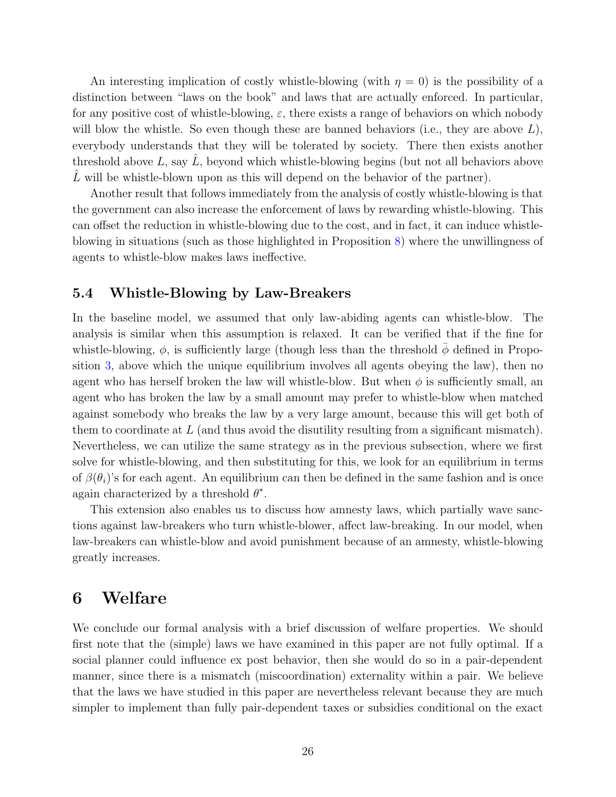An interesting implication of costly whistle-blowing (with  $\eta = 0$ ) is the possibility of a distinction between "laws on the book" and laws that are actually enforced. In particular, for any positive cost of whistle-blowing,  $\varepsilon$ , there exists a range of behaviors on which nobody will blow the whistle. So even though these are banned behaviors (i.e., they are above  $L$ ), everybody understands that they will be tolerated by society. There then exists another threshold above  $L$ , say  $\hat{L}$ , beyond which whistle-blowing begins (but not all behaviors above  $L$  will be whistle-blown upon as this will depend on the behavior of the partner).

Another result that follows immediately from the analysis of costly whistle-blowing is that the government can also increase the enforcement of laws by rewarding whistle-blowing. This can offset the reduction in whistle-blowing due to the cost, and in fact, it can induce whistleblowing in situations (such as those highlighted in Proposition [8\)](#page-21-0) where the unwillingness of agents to whistle-blow makes laws ineffective.

#### <span id="page-27-1"></span>5.4 Whistle-Blowing by Law-Breakers

In the baseline model, we assumed that only law-abiding agents can whistle-blow. The analysis is similar when this assumption is relaxed. It can be verified that if the fine for whistle-blowing,  $\phi$ , is sufficiently large (though less than the threshold  $\bar{\phi}$  defined in Proposition [3,](#page-11-1) above which the unique equilibrium involves all agents obeying the law), then no agent who has herself broken the law will whistle-blow. But when  $\phi$  is sufficiently small, an agent who has broken the law by a small amount may prefer to whistle-blow when matched against somebody who breaks the law by a very large amount, because this will get both of them to coordinate at  $L$  (and thus avoid the disutility resulting from a significant mismatch). Nevertheless, we can utilize the same strategy as in the previous subsection, where we first solve for whistle-blowing, and then substituting for this, we look for an equilibrium in terms of  $\beta(\theta_i)$ 's for each agent. An equilibrium can then be defined in the same fashion and is once again characterized by a threshold  $\theta^*$ .

This extension also enables us to discuss how amnesty laws, which partially wave sanctions against law-breakers who turn whistle-blower, affect law-breaking. In our model, when law-breakers can whistle-blow and avoid punishment because of an amnesty, whistle-blowing greatly increases.

## <span id="page-27-0"></span>6 Welfare

We conclude our formal analysis with a brief discussion of welfare properties. We should first note that the (simple) laws we have examined in this paper are not fully optimal. If a social planner could influence ex post behavior, then she would do so in a pair-dependent manner, since there is a mismatch (miscoordination) externality within a pair. We believe that the laws we have studied in this paper are nevertheless relevant because they are much simpler to implement than fully pair-dependent taxes or subsidies conditional on the exact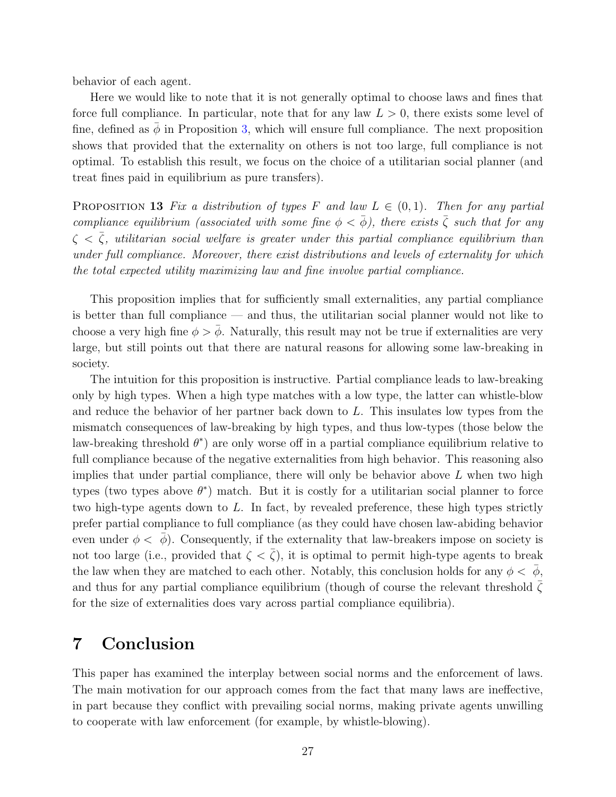behavior of each agent.

Here we would like to note that it is not generally optimal to choose laws and fines that force full compliance. In particular, note that for any law  $L > 0$ , there exists some level of fine, defined as  $\bar{\phi}$  in Proposition [3,](#page-11-1) which will ensure full compliance. The next proposition shows that provided that the externality on others is not too large, full compliance is not optimal. To establish this result, we focus on the choice of a utilitarian social planner (and treat fines paid in equilibrium as pure transfers).

<span id="page-28-1"></span>**PROPOSITION 13** Fix a distribution of types F and law  $L \in (0,1)$ . Then for any partial compliance equilibrium (associated with some fine  $\phi < \bar{\phi}$ ), there exists  $\bar{\zeta}$  such that for any  $\zeta < \overline{\zeta}$ , utilitarian social welfare is greater under this partial compliance equilibrium than under full compliance. Moreover, there exist distributions and levels of externality for which the total expected utility maximizing law and fine involve partial compliance.

This proposition implies that for sufficiently small externalities, any partial compliance is better than full compliance — and thus, the utilitarian social planner would not like to choose a very high fine  $\phi > \bar{\phi}$ . Naturally, this result may not be true if externalities are very large, but still points out that there are natural reasons for allowing some law-breaking in society.

The intuition for this proposition is instructive. Partial compliance leads to law-breaking only by high types. When a high type matches with a low type, the latter can whistle-blow and reduce the behavior of her partner back down to L. This insulates low types from the mismatch consequences of law-breaking by high types, and thus low-types (those below the law-breaking threshold  $\theta^*$ ) are only worse off in a partial compliance equilibrium relative to full compliance because of the negative externalities from high behavior. This reasoning also implies that under partial compliance, there will only be behavior above  $L$  when two high types (two types above  $\theta^*$ ) match. But it is costly for a utilitarian social planner to force two high-type agents down to  $L$ . In fact, by revealed preference, these high types strictly prefer partial compliance to full compliance (as they could have chosen law-abiding behavior even under  $\phi < \bar{\phi}$ ). Consequently, if the externality that law-breakers impose on society is not too large (i.e., provided that  $\zeta < \bar{\zeta}$ ), it is optimal to permit high-type agents to break the law when they are matched to each other. Notably, this conclusion holds for any  $\phi < \bar{\phi}$ , and thus for any partial compliance equilibrium (though of course the relevant threshold  $\bar{\zeta}$ for the size of externalities does vary across partial compliance equilibria).

# <span id="page-28-0"></span>7 Conclusion

This paper has examined the interplay between social norms and the enforcement of laws. The main motivation for our approach comes from the fact that many laws are ineffective, in part because they conflict with prevailing social norms, making private agents unwilling to cooperate with law enforcement (for example, by whistle-blowing).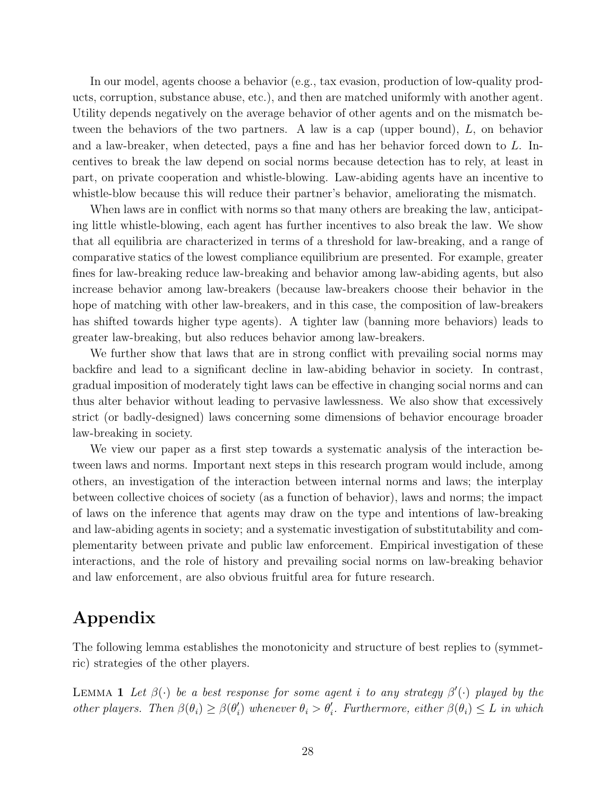In our model, agents choose a behavior (e.g., tax evasion, production of low-quality products, corruption, substance abuse, etc.), and then are matched uniformly with another agent. Utility depends negatively on the average behavior of other agents and on the mismatch between the behaviors of the two partners. A law is a cap (upper bound), L, on behavior and a law-breaker, when detected, pays a fine and has her behavior forced down to  $L$ . Incentives to break the law depend on social norms because detection has to rely, at least in part, on private cooperation and whistle-blowing. Law-abiding agents have an incentive to whistle-blow because this will reduce their partner's behavior, ameliorating the mismatch.

When laws are in conflict with norms so that many others are breaking the law, anticipating little whistle-blowing, each agent has further incentives to also break the law. We show that all equilibria are characterized in terms of a threshold for law-breaking, and a range of comparative statics of the lowest compliance equilibrium are presented. For example, greater fines for law-breaking reduce law-breaking and behavior among law-abiding agents, but also increase behavior among law-breakers (because law-breakers choose their behavior in the hope of matching with other law-breakers, and in this case, the composition of law-breakers has shifted towards higher type agents). A tighter law (banning more behaviors) leads to greater law-breaking, but also reduces behavior among law-breakers.

We further show that laws that are in strong conflict with prevailing social norms may backfire and lead to a significant decline in law-abiding behavior in society. In contrast, gradual imposition of moderately tight laws can be effective in changing social norms and can thus alter behavior without leading to pervasive lawlessness. We also show that excessively strict (or badly-designed) laws concerning some dimensions of behavior encourage broader law-breaking in society.

We view our paper as a first step towards a systematic analysis of the interaction between laws and norms. Important next steps in this research program would include, among others, an investigation of the interaction between internal norms and laws; the interplay between collective choices of society (as a function of behavior), laws and norms; the impact of laws on the inference that agents may draw on the type and intentions of law-breaking and law-abiding agents in society; and a systematic investigation of substitutability and complementarity between private and public law enforcement. Empirical investigation of these interactions, and the role of history and prevailing social norms on law-breaking behavior and law enforcement, are also obvious fruitful area for future research.

# Appendix

The following lemma establishes the monotonicity and structure of best replies to (symmetric) strategies of the other players.

<span id="page-29-0"></span>LEMMA 1 Let  $\beta(\cdot)$  be a best response for some agent i to any strategy  $\beta'(\cdot)$  played by the other players. Then  $\beta(\theta_i) \geq \beta(\theta'_i)$  $\theta'_{i}$ ) whenever  $\theta_{i} > \theta'_{i}$ . Furthermore, either  $\beta(\theta_{i}) \leq L$  in which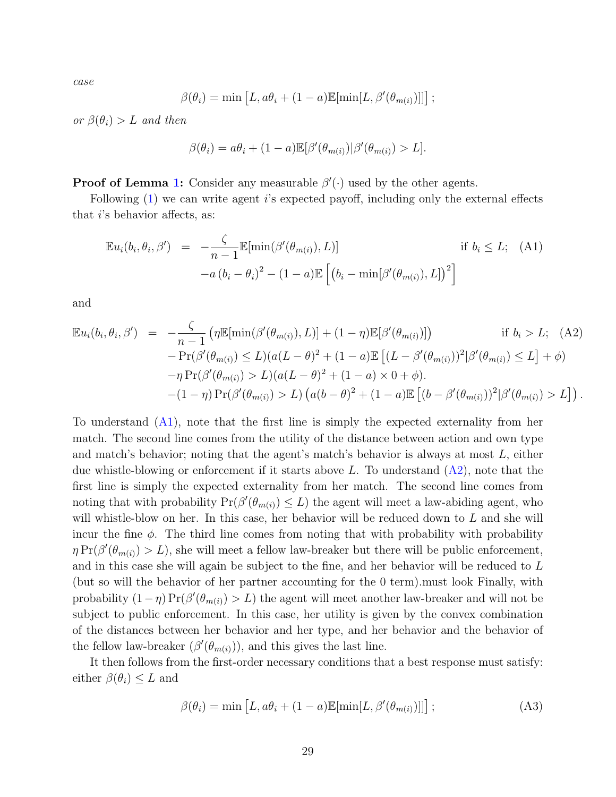case

$$
\beta(\theta_i) = \min \left[ L, a\theta_i + (1-a)\mathbb{E}[\min[L, \beta'(\theta_{m(i)})]] \right];
$$

or  $\beta(\theta_i) > L$  and then

$$
\beta(\theta_i) = a\theta_i + (1-a)\mathbb{E}[\beta'(\theta_{m(i)})|\beta'(\theta_{m(i)}) > L].
$$

**Proof of Lemma [1:](#page-29-0)** Consider any measurable  $\beta'(\cdot)$  used by the other agents.

Following  $(1)$  we can write agent is expected payoff, including only the external effects that i's behavior affects, as:

<span id="page-30-0"></span>
$$
\mathbb{E}u_i(b_i, \theta_i, \beta') = -\frac{\zeta}{n-1} \mathbb{E}[\min(\beta'(\theta_{m(i)}), L)] \quad \text{if } b_i \le L; \quad \text{(A1)}
$$

$$
-a(b_i - \theta_i)^2 - (1 - a) \mathbb{E}\left[\left(b_i - \min[\beta'(\theta_{m(i)}), L]\right)^2\right]
$$

and

<span id="page-30-1"></span>
$$
\mathbb{E} u_i(b_i, \theta_i, \beta') = -\frac{\zeta}{n-1} \left( \eta \mathbb{E}[\min(\beta'(\theta_{m(i)}), L)] + (1 - \eta) \mathbb{E}[\beta'(\theta_{m(i)})] \right) \quad \text{if } b_i > L; \quad (A2) \\
\quad - \Pr(\beta'(\theta_{m(i)}) \le L)(a(L - \theta)^2 + (1 - a) \mathbb{E}[(L - \beta'(\theta_{m(i)}))^2 | \beta'(\theta_{m(i)}) \le L] + \phi) \\
\quad - \eta \Pr(\beta'(\theta_{m(i)}) > L)(a(L - \theta)^2 + (1 - a) \times 0 + \phi).
$$
\n
$$
\quad - (1 - \eta) \Pr(\beta'(\theta_{m(i)}) > L) \left( a(b - \theta)^2 + (1 - a) \mathbb{E}[(b - \beta'(\theta_{m(i)}))^2 | \beta'(\theta_{m(i)}) > L] \right).
$$

To understand [\(A1\)](#page-30-0), note that the first line is simply the expected externality from her match. The second line comes from the utility of the distance between action and own type and match's behavior; noting that the agent's match's behavior is always at most L, either due whistle-blowing or enforcement if it starts above L. To understand  $(A2)$ , note that the first line is simply the expected externality from her match. The second line comes from noting that with probability  $Pr(\beta'(\theta_{m(i)}) \leq L)$  the agent will meet a law-abiding agent, who will whistle-blow on her. In this case, her behavior will be reduced down to L and she will incur the fine  $\phi$ . The third line comes from noting that with probability with probability  $\eta \Pr(\beta'(\theta_{m(i)}) > L)$ , she will meet a fellow law-breaker but there will be public enforcement, and in this case she will again be subject to the fine, and her behavior will be reduced to L (but so will the behavior of her partner accounting for the 0 term).must look Finally, with probability  $(1 - \eta) \Pr(\beta'(\theta_{m(i)}) > L)$  the agent will meet another law-breaker and will not be subject to public enforcement. In this case, her utility is given by the convex combination of the distances between her behavior and her type, and her behavior and the behavior of the fellow law-breaker  $(\beta'(\theta_{m(i)}))$ , and this gives the last line.

It then follows from the first-order necessary conditions that a best response must satisfy: either  $\beta(\theta_i) \leq L$  and

<span id="page-30-2"></span>
$$
\beta(\theta_i) = \min \left[ L, a\theta_i + (1 - a) \mathbb{E}[\min[L, \beta'(\theta_{m(i)})]] \right];
$$
\n(A3)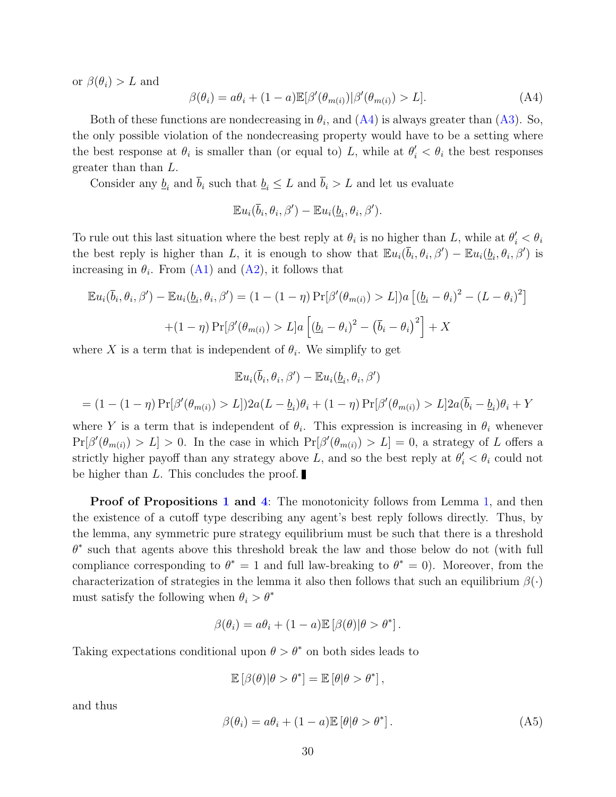or  $\beta(\theta_i) > L$  and

<span id="page-31-0"></span>
$$
\beta(\theta_i) = a\theta_i + (1-a)\mathbb{E}[\beta'(\theta_{m(i)})|\beta'(\theta_{m(i)}) > L].\tag{A4}
$$

Both of these functions are nondecreasing in  $\theta_i$ , and  $(A4)$  is always greater than  $(A3)$ . So, the only possible violation of the nondecreasing property would have to be a setting where the best response at  $\theta_i$  is smaller than (or equal to) L, while at  $\theta'_i < \theta_i$  the best responses greater than than L.

Consider any  $\underline{b}_i$  and  $\overline{b}_i$  such that  $\underline{b}_i \leq L$  and  $\overline{b}_i > L$  and let us evaluate

$$
\mathbb{E}u_i(\overline{b}_i,\theta_i,\beta')-\mathbb{E}u_i(\underline{b}_i,\theta_i,\beta').
$$

To rule out this last situation where the best reply at  $\theta_i$  is no higher than L, while at  $\theta_i' < \theta_i$ the best reply is higher than L, it is enough to show that  $\mathbb{E}u_i(\bar{b}_i,\theta_i,\beta') - \mathbb{E}u_i(\underline{b}_i,\theta_i,\beta')$  is increasing in  $\theta_i$ . From [\(A1\)](#page-30-0) and [\(A2\)](#page-30-1), it follows that

$$
\mathbb{E}u_i(\overline{b}_i, \theta_i, \beta') - \mathbb{E}u_i(\underline{b}_i, \theta_i, \beta') = (1 - (1 - \eta) \Pr[\beta'(\theta_{m(i)}) > L])a \left[ (\underline{b}_i - \theta_i)^2 - (L - \theta_i)^2 \right]
$$

$$
+ (1 - \eta) \Pr[\beta'(\theta_{m(i)}) > L]a \left[ (\underline{b}_i - \theta_i)^2 - (\overline{b}_i - \theta_i)^2 \right] + X
$$

where X is a term that is independent of  $\theta_i$ . We simplify to get

$$
\mathbb{E}u_i(\overline{b}_i, \theta_i, \beta') - \mathbb{E}u_i(\underline{b}_i, \theta_i, \beta')
$$
  
=  $(1 - (1 - \eta) \Pr[\beta'(\theta_{m(i)}) > L])2a(L - \underline{b}_i)\theta_i + (1 - \eta) \Pr[\beta'(\theta_{m(i)}) > L]2a(\overline{b}_i - \underline{b}_i)\theta_i + Y$ 

where Y is a term that is independent of  $\theta_i$ . This expression is increasing in  $\theta_i$  whenever  $Pr[\beta'(\theta_{m(i)}) > L] > 0$ . In the case in which  $Pr[\beta'(\theta_{m(i)}) > L] = 0$ , a strategy of L offers a strictly higher payoff than any strategy above L, and so the best reply at  $\theta_i' < \theta_i$  could not be higher than L. This concludes the proof.

**Proof of Propositions [1](#page-10-3) and [4](#page-12-0):** The monotonicity follows from Lemma [1,](#page-29-0) and then the existence of a cutoff type describing any agent's best reply follows directly. Thus, by the lemma, any symmetric pure strategy equilibrium must be such that there is a threshold  $\theta^*$  such that agents above this threshold break the law and those below do not (with full compliance corresponding to  $\theta^* = 1$  and full law-breaking to  $\theta^* = 0$ ). Moreover, from the characterization of strategies in the lemma it also then follows that such an equilibrium  $\beta(\cdot)$ must satisfy the following when  $\theta_i > \theta^*$ 

$$
\beta(\theta_i) = a\theta_i + (1 - a)\mathbb{E} [\beta(\theta)|\theta > \theta^*].
$$

Taking expectations conditional upon  $\theta > \theta^*$  on both sides leads to

$$
\mathbb{E}\left[\beta(\theta)|\theta > \theta^*\right] = \mathbb{E}\left[\theta|\theta > \theta^*\right],
$$

and thus

<span id="page-31-1"></span>
$$
\beta(\theta_i) = a\theta_i + (1 - a)\mathbb{E}[\theta|\theta > \theta^*].
$$
\n(A5)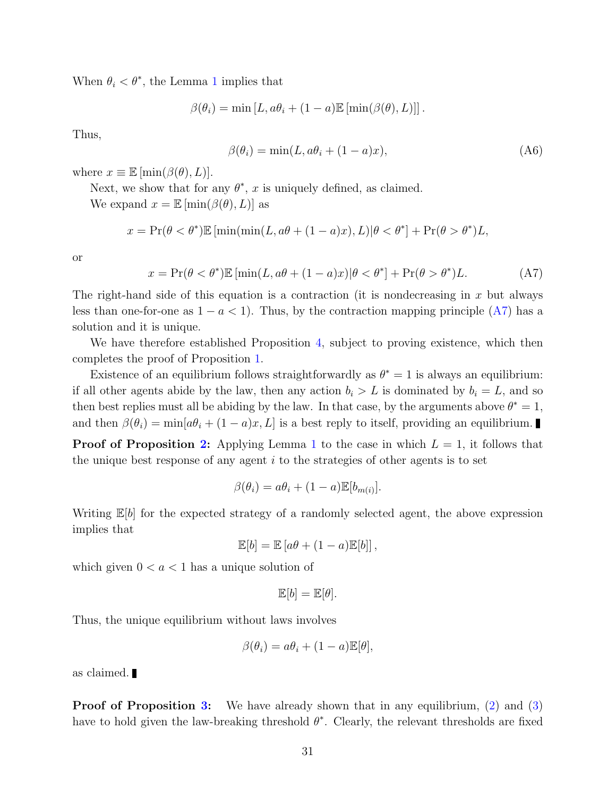When  $\theta_i < \theta^*$ , the Lemma [1](#page-29-0) implies that

$$
\beta(\theta_i) = \min [L, a\theta_i + (1 - a)\mathbb{E}[\min(\beta(\theta), L)]].
$$

Thus,

$$
\beta(\theta_i) = \min(L, a\theta_i + (1 - a)x),\tag{A6}
$$

where  $x \equiv \mathbb{E} [\min(\beta(\theta), L)].$ 

Next, we show that for any  $\theta^*$ , x is uniquely defined, as claimed.

We expand  $x = \mathbb{E} [\min(\beta(\theta), L)]$  as

$$
x = \Pr(\theta < \theta^*) \mathbb{E} \left[ \min(\min(L, a\theta + (1-a)x), L) | \theta < \theta^* \right] + \Pr(\theta > \theta^*) L,
$$

or

<span id="page-32-0"></span>
$$
x = \Pr(\theta < \theta^*) \mathbb{E} \left[ \min(L, a\theta + (1 - a)x) | \theta < \theta^* \right] + \Pr(\theta > \theta^*) L. \tag{A7}
$$

The right-hand side of this equation is a contraction (it is nondecreasing in  $x$  but always less than one-for-one as  $1 - a < 1$ ). Thus, by the contraction mapping principle [\(A7\)](#page-32-0) has a solution and it is unique.

We have therefore established Proposition [4,](#page-12-0) subject to proving existence, which then completes the proof of Proposition [1.](#page-10-3)

Existence of an equilibrium follows straightforwardly as  $\theta^* = 1$  is always an equilibrium: if all other agents abide by the law, then any action  $b_i > L$  is dominated by  $b_i = L$ , and so then best replies must all be abiding by the law. In that case, by the arguments above  $\theta^* = 1$ , and then  $\beta(\theta_i) = \min[a\theta_i + (1-a)x, L]$  is a best reply to itself, providing an equilibrium.

**Proof of Proposition [2:](#page-10-2)** Applying Lemma [1](#page-29-0) to the case in which  $L = 1$ , it follows that the unique best response of any agent  $i$  to the strategies of other agents is to set

$$
\beta(\theta_i) = a\theta_i + (1 - a)\mathbb{E}[b_{m(i)}].
$$

Writing  $\mathbb{E}[b]$  for the expected strategy of a randomly selected agent, the above expression implies that

 $\mathbb{E}[b] = \mathbb{E}[a\theta + (1-a)\mathbb{E}[b]],$ 

which given  $0 < a < 1$  has a unique solution of

$$
\mathbb{E}[b] = \mathbb{E}[\theta].
$$

Thus, the unique equilibrium without laws involves

$$
\beta(\theta_i) = a\theta_i + (1 - a)\mathbb{E}[\theta],
$$

as claimed.

**Proof of Proposition [3:](#page-11-1)** We have already shown that in any equilibrium, [\(2\)](#page-12-3) and [\(3\)](#page-12-4) have to hold given the law-breaking threshold  $\theta^*$ . Clearly, the relevant thresholds are fixed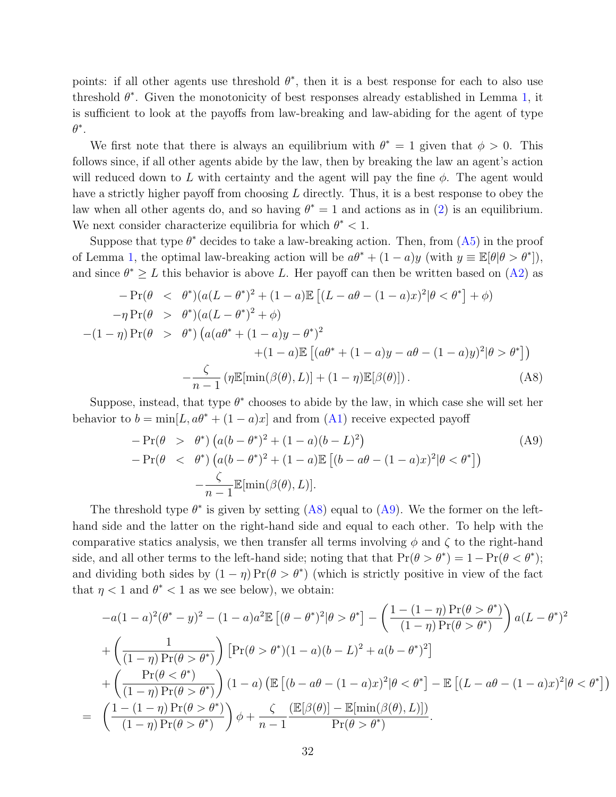points: if all other agents use threshold  $\theta^*$ , then it is a best response for each to also use threshold  $\theta^*$ . Given the monotonicity of best responses already established in Lemma [1,](#page-29-0) it is sufficient to look at the payoffs from law-breaking and law-abiding for the agent of type  $\theta^*$ .

We first note that there is always an equilibrium with  $\theta^* = 1$  given that  $\phi > 0$ . This follows since, if all other agents abide by the law, then by breaking the law an agent's action will reduced down to L with certainty and the agent will pay the fine  $\phi$ . The agent would have a strictly higher payoff from choosing  $L$  directly. Thus, it is a best response to obey the law when all other agents do, and so having  $\theta^* = 1$  and actions as in [\(2\)](#page-12-3) is an equilibrium. We next consider characterize equilibria for which  $\theta^* < 1$ .

Suppose that type  $\theta^*$  decides to take a law-breaking action. Then, from  $(A5)$  in the proof of Lemma [1,](#page-29-0) the optimal law-breaking action will be  $a\theta^* + (1 - a)y$  (with  $y \equiv \mathbb{E}[\theta | \theta > \theta^*]$ ), and since  $\theta^* \geq L$  this behavior is above L. Her payoff can then be written based on [\(A2\)](#page-30-1) as

<span id="page-33-0"></span>
$$
-\Pr(\theta < \theta^*)(a(L - \theta^*)^2 + (1 - a)\mathbb{E}[(L - a\theta - (1 - a)x)^2 | \theta < \theta^*] + \phi) \n- \eta \Pr(\theta > \theta^*)(a(L - \theta^*)^2 + \phi) \n- (1 - \eta) \Pr(\theta > \theta^*) (a(a\theta^* + (1 - a)y - \theta^*)^2 \n+ (1 - a)\mathbb{E}[(a\theta^* + (1 - a)y - a\theta - (1 - a)y)^2 | \theta > \theta^*]) \n- \frac{\zeta}{n - 1} (\eta \mathbb{E}[\min(\beta(\theta), L)] + (1 - \eta) \mathbb{E}[\beta(\theta)]). \tag{A8}
$$

Suppose, instead, that type  $\theta^*$  chooses to abide by the law, in which case she will set her behavior to  $b = \min[L, a\theta^* + (1 - a)x]$  and from [\(A1\)](#page-30-0) receive expected payoff

<span id="page-33-1"></span>
$$
-\Pr(\theta > \theta^*) \left( a(b - \theta^*)^2 + (1 - a)(b - L)^2 \right)
$$
  
- 
$$
\Pr(\theta < \theta^*) \left( a(b - \theta^*)^2 + (1 - a)\mathbb{E} \left[ (b - a\theta - (1 - a)x)^2 | \theta < \theta^* \right] \right)
$$
  
- 
$$
\frac{\zeta}{n - 1} \mathbb{E}[\min(\beta(\theta), L)].
$$
 (A9)

The threshold type  $\theta^*$  is given by setting [\(A8\)](#page-33-0) equal to [\(A9\)](#page-33-1). We the former on the lefthand side and the latter on the right-hand side and equal to each other. To help with the comparative statics analysis, we then transfer all terms involving  $\phi$  and  $\zeta$  to the right-hand side, and all other terms to the left-hand side; noting that that  $Pr(\theta > \theta^*) = 1 - Pr(\theta < \theta^*)$ ; and dividing both sides by  $(1 - \eta) \Pr(\theta > \theta^*)$  (which is strictly positive in view of the fact that  $\eta < 1$  and  $\theta^* < 1$  as we see below), we obtain:

$$
-a(1-a)^2(\theta^* - y)^2 - (1-a)a^2 \mathbb{E}\left[(\theta-\theta^*)^2|\theta > \theta^*\right] - \left(\frac{1-(1-\eta)\Pr(\theta > \theta^*)}{(1-\eta)\Pr(\theta > \theta^*)}\right)a(L-\theta^*)^2
$$
\n
$$
+ \left(\frac{1}{(1-\eta)\Pr(\theta > \theta^*)}\right)\left[\Pr(\theta > \theta^*)(1-a)(b-L)^2 + a(b-\theta^*)^2\right]
$$
\n
$$
+ \left(\frac{\Pr(\theta < \theta^*)}{(1-\eta)\Pr(\theta > \theta^*)}\right)(1-a)\left(\mathbb{E}\left[(b-a\theta-(1-a)x)^2|\theta < \theta^*\right] - \mathbb{E}\left[(L-a\theta-(1-a)x)^2|\theta < \theta^*\right]\right)
$$
\n
$$
= \left(\frac{1-(1-\eta)\Pr(\theta > \theta^*)}{(1-\eta)\Pr(\theta > \theta^*)}\right)\phi + \frac{\zeta}{n-1}\frac{\left(\mathbb{E}[\beta(\theta)] - \mathbb{E}[\min(\beta(\theta),L)]\right)}{\Pr(\theta > \theta^*)}.
$$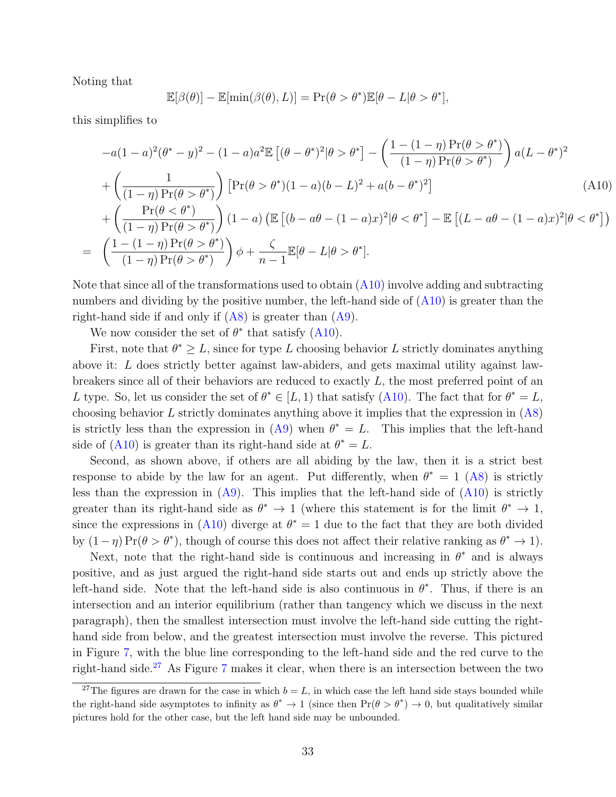Noting that

$$
\mathbb{E}[\beta(\theta)] - \mathbb{E}[\min(\beta(\theta), L)] = \Pr(\theta > \theta^*) \mathbb{E}[\theta - L | \theta > \theta^*],
$$

this simplifies to

<span id="page-34-0"></span>
$$
-a(1-a)^2(\theta^* - y)^2 - (1-a)a^2 \mathbb{E} \left[ (\theta - \theta^*)^2 |\theta > \theta^* \right] - \left( \frac{1 - (1-\eta) \Pr(\theta > \theta^*)}{(1-\eta) \Pr(\theta > \theta^*)} \right) a(L - \theta^*)^2 + \left( \frac{1}{(1-\eta) \Pr(\theta > \theta^*)} \right) \left[ \Pr(\theta > \theta^*) (1-a)(b-L)^2 + a(b-\theta^*)^2 \right] + \left( \frac{\Pr(\theta < \theta^*)}{(1-\eta) \Pr(\theta > \theta^*)} \right) (1-a) \left( \mathbb{E} \left[ (b-a\theta - (1-a)x)^2 | \theta < \theta^* \right] - \mathbb{E} \left[ (L-a\theta - (1-a)x)^2 | \theta < \theta^* \right] \right) = \left( \frac{1 - (1-\eta) \Pr(\theta > \theta^*)}{(1-\eta) \Pr(\theta > \theta^*)} \right) \phi + \frac{\zeta}{n-1} \mathbb{E}[\theta - L | \theta > \theta^*].
$$
 (A10)

Note that since all of the transformations used to obtain [\(A10\)](#page-34-0) involve adding and subtracting numbers and dividing by the positive number, the left-hand side of  $(A10)$  is greater than the right-hand side if and only if  $(AB)$  is greater than  $(A9)$ .

We now consider the set of  $\theta^*$  that satisfy [\(A10\)](#page-34-0).

First, note that  $\theta^* \geq L$ , since for type L choosing behavior L strictly dominates anything above it: L does strictly better against law-abiders, and gets maximal utility against lawbreakers since all of their behaviors are reduced to exactly L, the most preferred point of an L type. So, let us consider the set of  $\theta^* \in [L, 1)$  that satisfy [\(A10\)](#page-34-0). The fact that for  $\theta^* = L$ , choosing behavior  $L$  strictly dominates anything above it implies that the expression in  $(A8)$ is strictly less than the expression in [\(A9\)](#page-33-1) when  $\theta^* = L$ . This implies that the left-hand side of [\(A10\)](#page-34-0) is greater than its right-hand side at  $\theta^* = L$ .

Second, as shown above, if others are all abiding by the law, then it is a strict best response to abide by the law for an agent. Put differently, when  $\theta^* = 1$  [\(A8\)](#page-33-0) is strictly less than the expression in  $(A9)$ . This implies that the left-hand side of  $(A10)$  is strictly greater than its right-hand side as  $\theta^* \to 1$  (where this statement is for the limit  $\theta^* \to 1$ , since the expressions in [\(A10\)](#page-34-0) diverge at  $\theta^* = 1$  due to the fact that they are both divided by  $(1 - \eta) \Pr(\theta > \theta^*)$ , though of course this does not affect their relative ranking as  $\theta^* \to 1$ .

Next, note that the right-hand side is continuous and increasing in  $\theta^*$  and is always positive, and as just argued the right-hand side starts out and ends up strictly above the left-hand side. Note that the left-hand side is also continuous in  $\theta^*$ . Thus, if there is an intersection and an interior equilibrium (rather than tangency which we discuss in the next paragraph), then the smallest intersection must involve the left-hand side cutting the righthand side from below, and the greatest intersection must involve the reverse. This pictured in Figure [7,](#page-35-0) with the blue line corresponding to the left-hand side and the red curve to the right-hand side.[27](#page-34-1) As Figure [7](#page-35-0) makes it clear, when there is an intersection between the two

<span id="page-34-1"></span><sup>&</sup>lt;sup>27</sup>The figures are drawn for the case in which  $b = L$ , in which case the left hand side stays bounded while the right-hand side asymptotes to infinity as  $\theta^* \to 1$  (since then  $\Pr(\theta > \theta^*) \to 0$ , but qualitatively similar pictures hold for the other case, but the left hand side may be unbounded.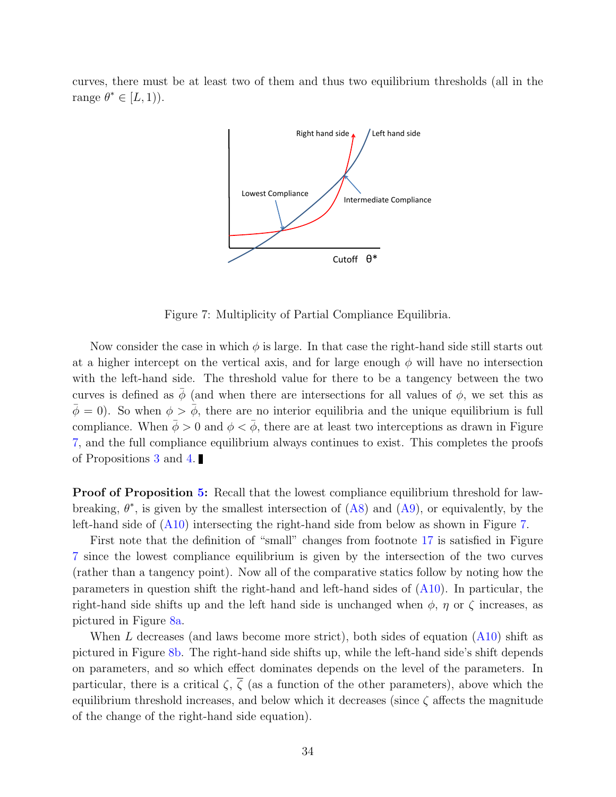<span id="page-35-0"></span>curves, there must be at least two of them and thus two equilibrium thresholds (all in the range  $\theta^* \in [L, 1)$ .



Figure 7: Multiplicity of Partial Compliance Equilibria.

Now consider the case in which  $\phi$  is large. In that case the right-hand side still starts out at a higher intercept on the vertical axis, and for large enough  $\phi$  will have no intersection with the left-hand side. The threshold value for there to be a tangency between the two curves is defined as  $\bar{\phi}$  (and when there are intersections for all values of  $\phi$ , we set this as  $\bar{\phi} = 0$ ). So when  $\phi > \bar{\phi}$ , there are no interior equilibria and the unique equilibrium is full compliance. When  $\bar{\phi} > 0$  and  $\phi < \bar{\phi}$ , there are at least two interceptions as drawn in Figure [7,](#page-35-0) and the full compliance equilibrium always continues to exist. This completes the proofs of Propositions [3](#page-11-1) and [4.](#page-12-0)

Proof of Proposition [5:](#page-14-2) Recall that the lowest compliance equilibrium threshold for lawbreaking,  $\theta^*$ , is given by the smallest intersection of  $(A8)$  and  $(A9)$ , or equivalently, by the left-hand side of [\(A10\)](#page-34-0) intersecting the right-hand side from below as shown in Figure [7.](#page-35-0)

First note that the definition of "small" changes from footnote [17](#page-14-1) is satisfied in Figure [7](#page-35-0) since the lowest compliance equilibrium is given by the intersection of the two curves (rather than a tangency point). Now all of the comparative statics follow by noting how the parameters in question shift the right-hand and left-hand sides of [\(A10\)](#page-34-0). In particular, the right-hand side shifts up and the left hand side is unchanged when  $\phi$ ,  $\eta$  or  $\zeta$  increases, as pictured in Figure [8a.](#page-36-0)

When L decreases (and laws become more strict), both sides of equation [\(A10\)](#page-34-0) shift as pictured in Figure [8b.](#page-36-1) The right-hand side shifts up, while the left-hand side's shift depends on parameters, and so which effect dominates depends on the level of the parameters. In particular, there is a critical  $\zeta$ ,  $\overline{\zeta}$  (as a function of the other parameters), above which the equilibrium threshold increases, and below which it decreases (since  $\zeta$  affects the magnitude of the change of the right-hand side equation).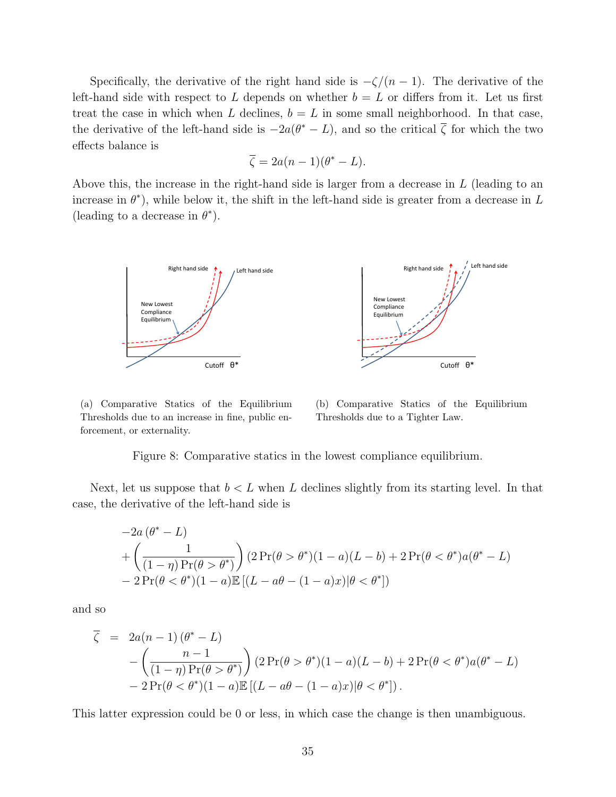Specifically, the derivative of the right hand side is  $-\zeta/(n-1)$ . The derivative of the left-hand side with respect to L depends on whether  $b = L$  or differs from it. Let us first treat the case in which when L declines,  $b = L$  in some small neighborhood. In that case, the derivative of the left-hand side is  $-2a(\theta^* - L)$ , and so the critical  $\overline{\zeta}$  for which the two effects balance is

$$
\overline{\zeta} = 2a(n-1)(\theta^* - L).
$$

<span id="page-36-0"></span>Above this, the increase in the right-hand side is larger from a decrease in  $L$  (leading to an increase in  $\theta^*$ ), while below it, the shift in the left-hand side is greater from a decrease in L (leading to a decrease in  $\theta^*$ ).



(a) Comparative Statics of the Equilibrium Thresholds due to an increase in fine, public enforcement, or externality.

<span id="page-36-1"></span>(b) Comparative Statics of the Equilibrium Thresholds due to a Tighter Law.

Figure 8: Comparative statics in the lowest compliance equilibrium.

Next, let us suppose that  $b < L$  when L declines slightly from its starting level. In that case, the derivative of the left-hand side is

<span id="page-36-2"></span>
$$
-2a(\theta^* - L)
$$
  
+ 
$$
\left(\frac{1}{(1-\eta) \Pr(\theta > \theta^*)}\right) (2\Pr(\theta > \theta^*)(1-a)(L-b) + 2\Pr(\theta < \theta^*)a(\theta^* - L))
$$
  
- 
$$
2\Pr(\theta < \theta^*)(1-a)\mathbb{E}[(L-a\theta - (1-a)x)|\theta < \theta^*])
$$

and so

$$
\overline{\zeta} = 2a(n-1)(\theta^* - L)
$$
  
 
$$
- \left(\frac{n-1}{(1-\eta) \Pr(\theta > \theta^*)}\right) (2 \Pr(\theta > \theta^*)(1-a)(L-b) + 2 \Pr(\theta < \theta^*)a(\theta^* - L))
$$
  
 
$$
- 2 \Pr(\theta < \theta^*)(1-a) \mathbb{E} \left[ (L-a\theta - (1-a)x)|\theta < \theta^* \right].
$$

This latter expression could be 0 or less, in which case the change is then unambiguous.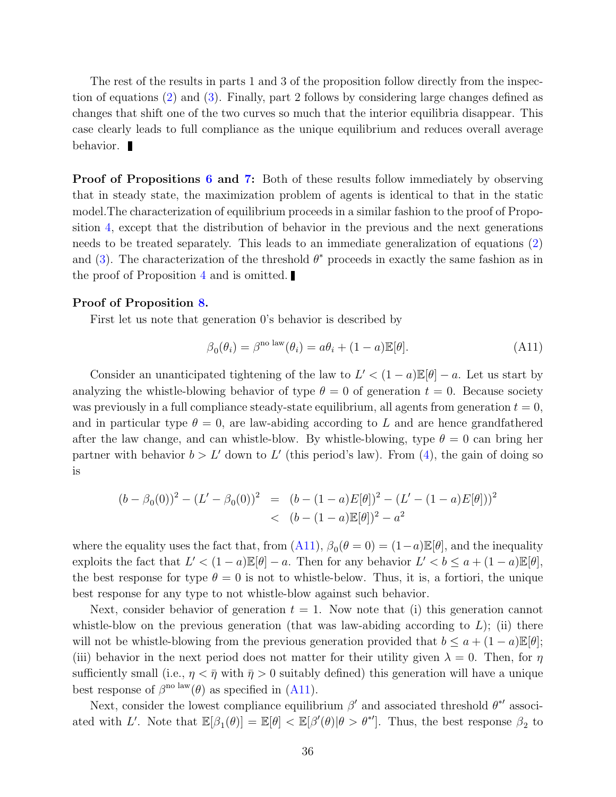The rest of the results in parts 1 and 3 of the proposition follow directly from the inspection of equations [\(2\)](#page-12-3) and [\(3\)](#page-12-4). Finally, part 2 follows by considering large changes defined as changes that shift one of the two curves so much that the interior equilibria disappear. This case clearly leads to full compliance as the unique equilibrium and reduces overall average behavior.

**Proof of Propositions [6](#page-20-1) and [7:](#page-20-2)** Both of these results follow immediately by observing that in steady state, the maximization problem of agents is identical to that in the static model.The characterization of equilibrium proceeds in a similar fashion to the proof of Proposition [4,](#page-12-0) except that the distribution of behavior in the previous and the next generations needs to be treated separately. This leads to an immediate generalization of equations [\(2\)](#page-12-3) and [\(3\)](#page-12-4). The characterization of the threshold  $\theta^*$  proceeds in exactly the same fashion as in the proof of Proposition [4](#page-12-0) and is omitted.

#### Proof of Proposition [8.](#page-21-0)

First let us note that generation 0's behavior is described by

$$
\beta_0(\theta_i) = \beta^{\text{no law}}(\theta_i) = a\theta_i + (1 - a)\mathbb{E}[\theta].\tag{A11}
$$

Consider an unanticipated tightening of the law to  $L' < (1 - a)\mathbb{E}[\theta] - a$ . Let us start by analyzing the whistle-blowing behavior of type  $\theta = 0$  of generation  $t = 0$ . Because society was previously in a full compliance steady-state equilibrium, all agents from generation  $t = 0$ , and in particular type  $\theta = 0$ , are law-abiding according to L and are hence grandfathered after the law change, and can whistle-blow. By whistle-blowing, type  $\theta = 0$  can bring her partner with behavior  $b > L'$  down to L' (this period's law). From [\(4\)](#page-19-1), the gain of doing so is

$$
(b - \beta_0(0))^2 - (L' - \beta_0(0))^2 = (b - (1 - a)E[\theta])^2 - (L' - (1 - a)E[\theta]))^2
$$
  
< 
$$
b - (1 - a)E[\theta])^2 - a^2
$$

where the equality uses the fact that, from  $(A11)$ ,  $\beta_0(\theta=0) = (1-a)\mathbb{E}[\theta]$ , and the inequality exploits the fact that  $L' < (1 - a)\mathbb{E}[\theta] - a$ . Then for any behavior  $L' < b \le a + (1 - a)\mathbb{E}[\theta]$ , the best response for type  $\theta = 0$  is not to whistle-below. Thus, it is, a fortiori, the unique best response for any type to not whistle-blow against such behavior.

Next, consider behavior of generation  $t = 1$ . Now note that (i) this generation cannot whistle-blow on the previous generation (that was law-abiding according to  $L$ ); (ii) there will not be whistle-blowing from the previous generation provided that  $b \le a + (1 - a) \mathbb{E}[\theta]$ ; (iii) behavior in the next period does not matter for their utility given  $\lambda = 0$ . Then, for  $\eta$ sufficiently small (i.e.,  $\eta < \bar{\eta}$  with  $\bar{\eta} > 0$  suitably defined) this generation will have a unique best response of  $\beta^{\text{no law}}(\theta)$  as specified in [\(A11\)](#page-36-2).

Next, consider the lowest compliance equilibrium  $\beta'$  and associated threshold  $\theta^{*'}$  associated with L'. Note that  $\mathbb{E}[\beta_1(\theta)] = \mathbb{E}[\theta] < \mathbb{E}[\beta'(\theta)|\theta > \theta^*']$ . Thus, the best response  $\beta_2$  to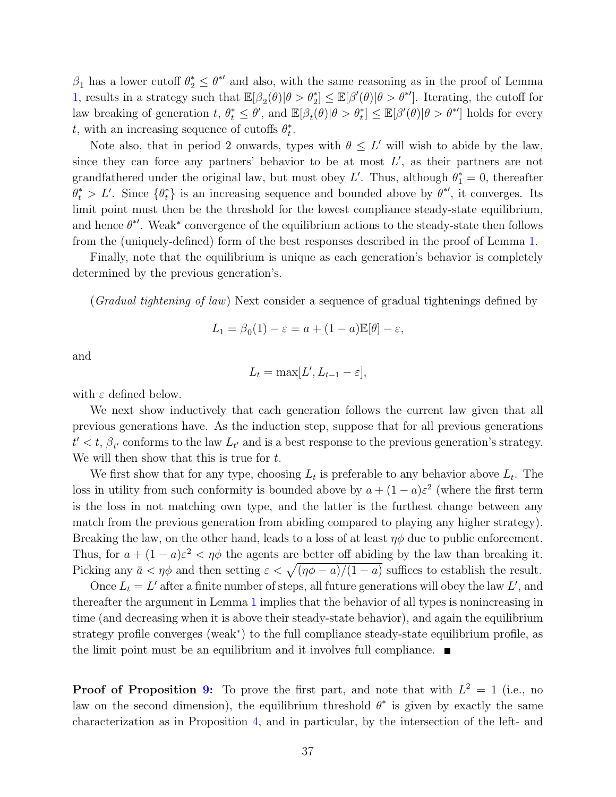$\beta_1$  has a lower cutoff  $\theta_2^* \leq \theta^{*'}$  and also, with the same reasoning as in the proof of Lemma [1,](#page-29-0) results in a strategy such that  $\mathbb{E}[\beta_2(\theta)|\theta > \theta_2^*] \leq \mathbb{E}[\beta'(\theta)|\theta > \theta^*]$ . Iterating, the cutoff for law breaking of generation  $t, \theta_t^* \leq \theta'$ , and  $\mathbb{E}[\beta_t(\theta)|\theta > \theta_t^*] \leq \mathbb{E}[\beta'(\theta)|\theta > \theta^{*'}]$  holds for every t, with an increasing sequence of cutoffs  $\theta_t^*$  $\frac{*}{t}$ .

Note also, that in period 2 onwards, types with  $\theta \leq L'$  will wish to abide by the law, since they can force any partners' behavior to be at most  $L'$ , as their partners are not grandfathered under the original law, but must obey L'. Thus, although  $\theta_1^* = 0$ , thereafter  $\theta_t^* > L'$ . Since  $\{\theta_t^*\}$  is an increasing sequence and bounded above by  $\theta^{*'}$ , it converges. Its limit point must then be the threshold for the lowest compliance steady-state equilibrium, and hence  $\theta^*$ . Weak\* convergence of the equilibrium actions to the steady-state then follows from the (uniquely-defined) form of the best responses described in the proof of Lemma [1.](#page-29-0)

Finally, note that the equilibrium is unique as each generation's behavior is completely determined by the previous generation's.

(*Gradual tightening of law*) Next consider a sequence of gradual tightenings defined by

$$
L_1 = \beta_0(1) - \varepsilon = a + (1 - a)\mathbb{E}[\theta] - \varepsilon,
$$

and

$$
L_t = \max[L', L_{t-1} - \varepsilon],
$$

with  $\varepsilon$  defined below.

We next show inductively that each generation follows the current law given that all previous generations have. As the induction step, suppose that for all previous generations  $t' < t$ ,  $\beta_{t'}$  conforms to the law  $L_{t'}$  and is a best response to the previous generation's strategy. We will then show that this is true for  $t$ .

We first show that for any type, choosing  $L_t$  is preferable to any behavior above  $L_t$ . The loss in utility from such conformity is bounded above by  $a + (1 - a)\varepsilon^2$  (where the first term is the loss in not matching own type, and the latter is the furthest change between any match from the previous generation from abiding compared to playing any higher strategy). Breaking the law, on the other hand, leads to a loss of at least  $\eta\phi$  due to public enforcement. Thus, for  $a + (1 - a)\varepsilon^2 < \eta\phi$  the agents are better off abiding by the law than breaking it. Picking any  $\bar{a} < \eta \phi$  and then setting  $\varepsilon < \sqrt{(\eta \phi - a)/(1 - a)}$  suffices to establish the result.

Once  $L_t = L'$  after a finite number of steps, all future generations will obey the law L', and thereafter the argument in Lemma [1](#page-29-0) implies that the behavior of all types is nonincreasing in time (and decreasing when it is above their steady-state behavior), and again the equilibrium strategy profile converges (weak<sup>∗</sup> ) to the full compliance steady-state equilibrium profile, as the limit point must be an equilibrium and it involves full compliance.  $\blacksquare$ 

**Proof of Proposition [9:](#page-24-1)** To prove the first part, and note that with  $L^2 = 1$  (i.e., no law on the second dimension), the equilibrium threshold  $\theta^*$  is given by exactly the same characterization as in Proposition [4,](#page-12-0) and in particular, by the intersection of the left- and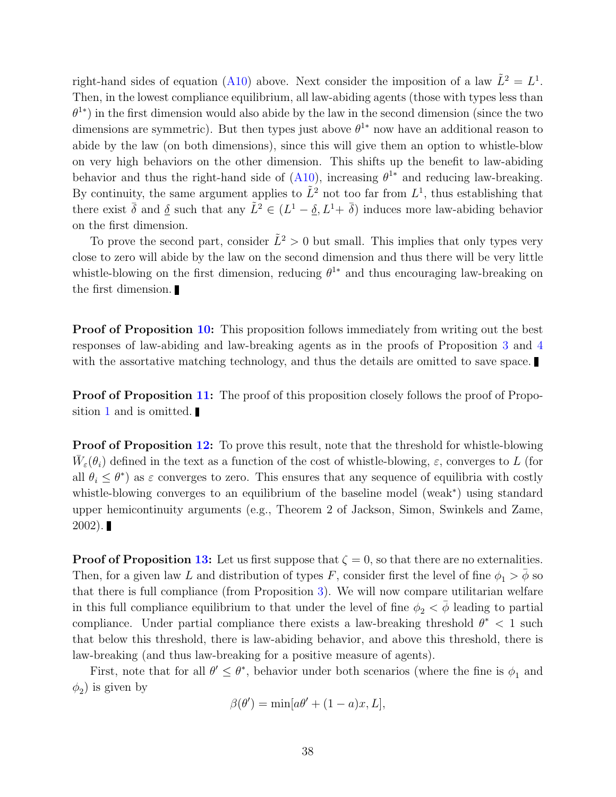right-hand sides of equation [\(A10\)](#page-34-0) above. Next consider the imposition of a law  $\tilde{L}^2 = L^1$ . Then, in the lowest compliance equilibrium, all law-abiding agents (those with types less than  $\theta^{1*}$ ) in the first dimension would also abide by the law in the second dimension (since the two dimensions are symmetric). But then types just above  $\theta^{1*}$  now have an additional reason to abide by the law (on both dimensions), since this will give them an option to whistle-blow on very high behaviors on the other dimension. This shifts up the benefit to law-abiding behavior and thus the right-hand side of  $(A10)$ , increasing  $\theta^{1*}$  and reducing law-breaking. By continuity, the same argument applies to  $\tilde{L}^2$  not too far from  $L^1$ , thus establishing that there exist  $\bar{\delta}$  and  $\underline{\delta}$  such that any  $\tilde{L}^2 \in (L^1 - \underline{\delta}, L^1 + \bar{\delta})$  induces more law-abiding behavior on the first dimension.

To prove the second part, consider  $\tilde{L}^2 > 0$  but small. This implies that only types very close to zero will abide by the law on the second dimension and thus there will be very little whistle-blowing on the first dimension, reducing  $\theta^{1*}$  and thus encouraging law-breaking on the first dimension.

**Proof of Proposition [10:](#page-25-1)** This proposition follows immediately from writing out the best responses of law-abiding and law-breaking agents as in the proofs of Proposition [3](#page-11-1) and [4](#page-12-0) with the assortative matching technology, and thus the details are omitted to save space.

Proof of Proposition [11:](#page-26-0) The proof of this proposition closely follows the proof of Propo-sition [1](#page-10-3) and is omitted.

**Proof of Proposition [12:](#page-26-1)** To prove this result, note that the threshold for whistle-blowing  $\bar{W}_{\varepsilon}(\theta_i)$  defined in the text as a function of the cost of whistle-blowing,  $\varepsilon$ , converges to L (for all  $\theta_i \leq \theta^*$  as  $\varepsilon$  converges to zero. This ensures that any sequence of equilibria with costly whistle-blowing converges to an equilibrium of the baseline model (weak<sup>∗</sup> ) using standard upper hemicontinuity arguments (e.g., Theorem 2 of Jackson, Simon, Swinkels and Zame,  $2002$ ).

**Proof of Proposition [13:](#page-28-1)** Let us first suppose that  $\zeta = 0$ , so that there are no externalities. Then, for a given law L and distribution of types F, consider first the level of fine  $\phi_1 > \bar{\phi}$  so that there is full compliance (from Proposition [3\)](#page-11-1). We will now compare utilitarian welfare in this full compliance equilibrium to that under the level of fine  $\phi_2 < \bar{\phi}$  leading to partial compliance. Under partial compliance there exists a law-breaking threshold  $\theta^*$  < 1 such that below this threshold, there is law-abiding behavior, and above this threshold, there is law-breaking (and thus law-breaking for a positive measure of agents).

First, note that for all  $\theta' \leq \theta^*$ , behavior under both scenarios (where the fine is  $\phi_1$  and  $\phi_2$ ) is given by

$$
\beta(\theta') = \min[a\theta' + (1-a)x, L],
$$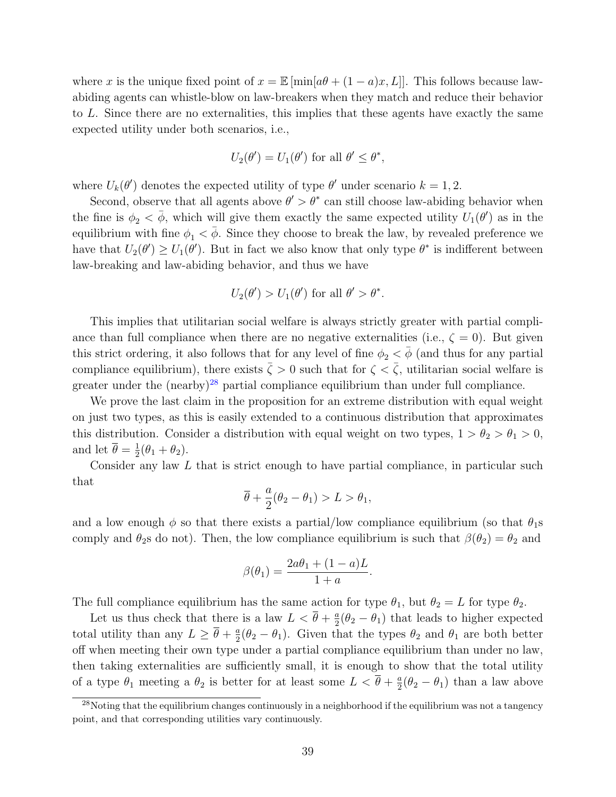where x is the unique fixed point of  $x = \mathbb{E} [\min[a\theta + (1-a)x, L]]$ . This follows because lawabiding agents can whistle-blow on law-breakers when they match and reduce their behavior to L. Since there are no externalities, this implies that these agents have exactly the same expected utility under both scenarios, i.e.,

$$
U_2(\theta') = U_1(\theta')
$$
 for all  $\theta' \leq \theta^*$ ,

where  $U_k(\theta')$  denotes the expected utility of type  $\theta'$  under scenario  $k = 1, 2$ .

Second, observe that all agents above  $\theta' > \theta^*$  can still choose law-abiding behavior when the fine is  $\phi_2 < \bar{\phi}$ , which will give them exactly the same expected utility  $U_1(\theta')$  as in the equilibrium with fine  $\phi_1 < \bar{\phi}$ . Since they choose to break the law, by revealed preference we have that  $U_2(\theta') \ge U_1(\theta')$ . But in fact we also know that only type  $\theta^*$  is indifferent between law-breaking and law-abiding behavior, and thus we have

$$
U_2(\theta') > U_1(\theta')
$$
 for all  $\theta' > \theta^*$ .

This implies that utilitarian social welfare is always strictly greater with partial compliance than full compliance when there are no negative externalities (i.e.,  $\zeta = 0$ ). But given this strict ordering, it also follows that for any level of fine  $\phi_2 < \bar{\phi}$  (and thus for any partial compliance equilibrium), there exists  $\bar{\zeta} > 0$  such that for  $\zeta < \bar{\zeta}$ , utilitarian social welfare is greater under the  $(nearly)^{28}$  $(nearly)^{28}$  $(nearly)^{28}$  partial compliance equilibrium than under full compliance.

We prove the last claim in the proposition for an extreme distribution with equal weight on just two types, as this is easily extended to a continuous distribution that approximates this distribution. Consider a distribution with equal weight on two types,  $1 > \theta_2 > \theta_1 > 0$ , and let  $\overline{\theta} = \frac{1}{2}$  $\frac{1}{2}(\theta_1 + \theta_2).$ 

Consider any law L that is strict enough to have partial compliance, in particular such that

$$
\overline{\theta} + \frac{a}{2}(\theta_2 - \theta_1) > L > \theta_1,
$$

and a low enough  $\phi$  so that there exists a partial/low compliance equilibrium (so that  $\theta_1$ s comply and  $\theta_2$ s do not). Then, the low compliance equilibrium is such that  $\beta(\theta_2) = \theta_2$  and

$$
\beta(\theta_1) = \frac{2a\theta_1 + (1-a)L}{1+a}.
$$

The full compliance equilibrium has the same action for type  $\theta_1$ , but  $\theta_2 = L$  for type  $\theta_2$ .

Let us thus check that there is a law  $L < \overline{\theta} + \frac{a}{2}$  $\frac{a}{2}(\theta_2 - \theta_1)$  that leads to higher expected total utility than any  $L \geq \overline{\theta} + \frac{a}{2}$  $\frac{a}{2}(\theta_2 - \theta_1)$ . Given that the types  $\theta_2$  and  $\theta_1$  are both better off when meeting their own type under a partial compliance equilibrium than under no law, then taking externalities are sufficiently small, it is enough to show that the total utility of a type  $\theta_1$  meeting a  $\theta_2$  is better for at least some  $L < \overline{\theta} + \frac{a}{2}$  $\frac{a}{2}(\theta_2 - \theta_1)$  than a law above

<span id="page-40-0"></span><sup>&</sup>lt;sup>28</sup>Noting that the equilibrium changes continuously in a neighborhood if the equilibrium was not a tangency point, and that corresponding utilities vary continuously.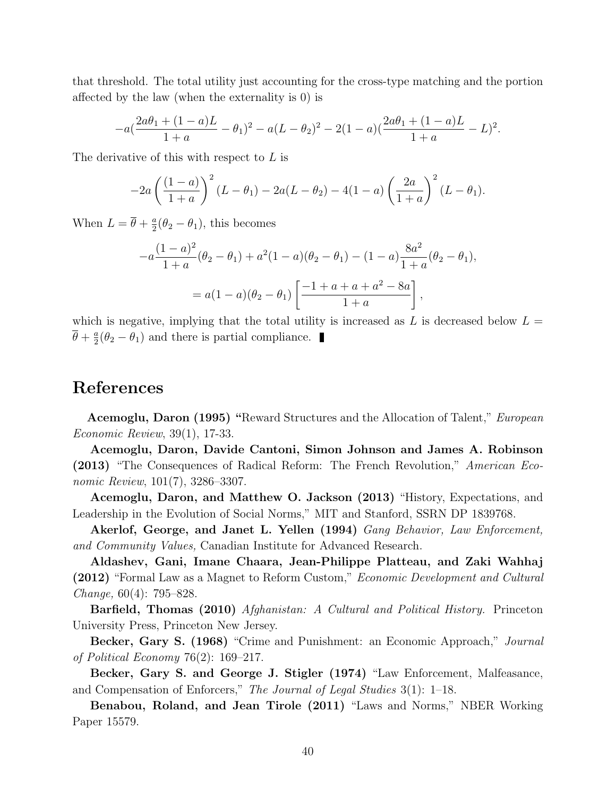that threshold. The total utility just accounting for the cross-type matching and the portion affected by the law (when the externality is 0) is

$$
-a\left(\frac{2a\theta_1+(1-a)L}{1+a}-\theta_1\right)^2-a(L-\theta_2)^2-2(1-a)\left(\frac{2a\theta_1+(1-a)L}{1+a}-L\right)^2.
$$

The derivative of this with respect to L is

$$
-2a\left(\frac{(1-a)}{1+a}\right)^2(L-\theta_1)-2a(L-\theta_2)-4(1-a)\left(\frac{2a}{1+a}\right)^2(L-\theta_1).
$$

When  $L = \overline{\theta} + \frac{a}{2}$  $\frac{a}{2}(\theta_2 - \theta_1)$ , this becomes

$$
-a\frac{(1-a)^2}{1+a}(\theta_2 - \theta_1) + a^2(1-a)(\theta_2 - \theta_1) - (1-a)\frac{8a^2}{1+a}(\theta_2 - \theta_1),
$$
  
=  $a(1-a)(\theta_2 - \theta_1)\left[\frac{-1+a+a+a^2-8a}{1+a}\right],$ 

which is negative, implying that the total utility is increased as L is decreased below  $L =$  $\overline{\theta}+\frac{a}{2}$  $\frac{a}{2}(\theta_2 - \theta_1)$  and there is partial compliance.

## References

Acemoglu, Daron (1995) "Reward Structures and the Allocation of Talent," European Economic Review, 39(1), 17-33.

Acemoglu, Daron, Davide Cantoni, Simon Johnson and James A. Robinson (2013) "The Consequences of Radical Reform: The French Revolution," American Economic Review, 101(7), 3286–3307.

Acemoglu, Daron, and Matthew O. Jackson (2013) "History, Expectations, and Leadership in the Evolution of Social Norms," MIT and Stanford, SSRN DP 1839768.

Akerlof, George, and Janet L. Yellen (1994) Gang Behavior, Law Enforcement, and Community Values, Canadian Institute for Advanced Research.

Aldashev, Gani, Imane Chaara, Jean-Philippe Platteau, and Zaki Wahhaj (2012) "Formal Law as a Magnet to Reform Custom," Economic Development and Cultural Change, 60(4): 795–828.

Barfield, Thomas (2010) Afghanistan: A Cultural and Political History. Princeton University Press, Princeton New Jersey.

Becker, Gary S. (1968) "Crime and Punishment: an Economic Approach," Journal of Political Economy 76(2): 169–217.

Becker, Gary S. and George J. Stigler (1974) "Law Enforcement, Malfeasance, and Compensation of Enforcers," The Journal of Legal Studies 3(1): 1–18.

Benabou, Roland, and Jean Tirole (2011) "Laws and Norms," NBER Working Paper 15579.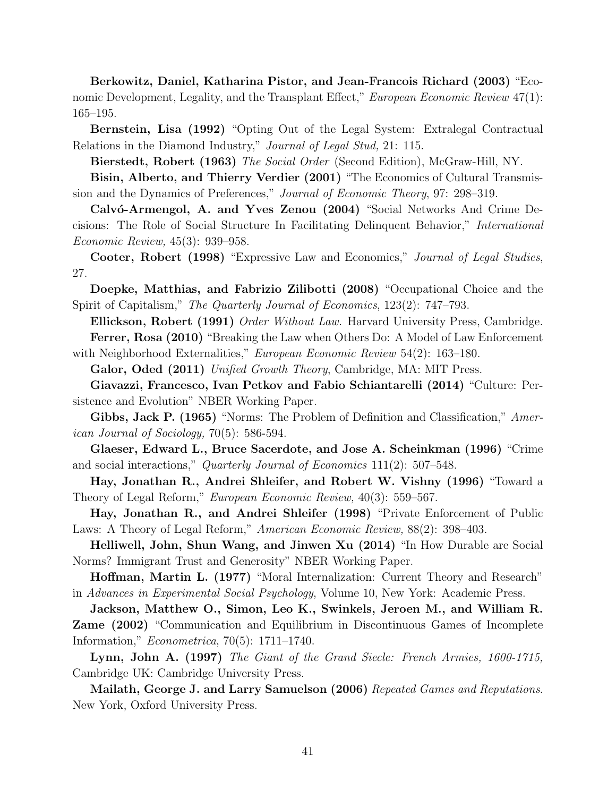Berkowitz, Daniel, Katharina Pistor, and Jean-Francois Richard (2003) "Economic Development, Legality, and the Transplant Effect," European Economic Review 47(1): 165–195.

Bernstein, Lisa (1992) "Opting Out of the Legal System: Extralegal Contractual Relations in the Diamond Industry," Journal of Legal Stud, 21: 115.

Bierstedt, Robert (1963) The Social Order (Second Edition), McGraw-Hill, NY.

Bisin, Alberto, and Thierry Verdier (2001) "The Economics of Cultural Transmission and the Dynamics of Preferences," Journal of Economic Theory, 97: 298–319.

Calvó-Armengol, A. and Yves Zenou (2004) "Social Networks And Crime Decisions: The Role of Social Structure In Facilitating Delinquent Behavior," International Economic Review, 45(3): 939–958.

Cooter, Robert (1998) "Expressive Law and Economics," Journal of Legal Studies, 27.

Doepke, Matthias, and Fabrizio Zilibotti (2008) "Occupational Choice and the Spirit of Capitalism," The Quarterly Journal of Economics, 123(2): 747–793.

Ellickson, Robert (1991) Order Without Law. Harvard University Press, Cambridge. Ferrer, Rosa (2010) "Breaking the Law when Others Do: A Model of Law Enforcement

with Neighborhood Externalities," European Economic Review 54(2): 163-180. Galor, Oded (2011) Unified Growth Theory, Cambridge, MA: MIT Press.

Giavazzi, Francesco, Ivan Petkov and Fabio Schiantarelli (2014) "Culture: Persistence and Evolution" NBER Working Paper.

Gibbs, Jack P. (1965) "Norms: The Problem of Definition and Classification," American Journal of Sociology, 70(5): 586-594.

Glaeser, Edward L., Bruce Sacerdote, and Jose A. Scheinkman (1996) "Crime and social interactions," Quarterly Journal of Economics 111(2): 507–548.

Hay, Jonathan R., Andrei Shleifer, and Robert W. Vishny (1996) "Toward a Theory of Legal Reform," European Economic Review, 40(3): 559–567.

Hay, Jonathan R., and Andrei Shleifer (1998) "Private Enforcement of Public Laws: A Theory of Legal Reform," American Economic Review, 88(2): 398–403.

Helliwell, John, Shun Wang, and Jinwen Xu (2014) "In How Durable are Social Norms? Immigrant Trust and Generosity" NBER Working Paper.

Hoffman, Martin L. (1977) "Moral Internalization: Current Theory and Research" in Advances in Experimental Social Psychology, Volume 10, New York: Academic Press.

Jackson, Matthew O., Simon, Leo K., Swinkels, Jeroen M., and William R. Zame (2002) "Communication and Equilibrium in Discontinuous Games of Incomplete Information," Econometrica, 70(5): 1711–1740.

Lynn, John A. (1997) The Giant of the Grand Siecle: French Armies, 1600-1715, Cambridge UK: Cambridge University Press.

Mailath, George J. and Larry Samuelson (2006) Repeated Games and Reputations. New York, Oxford University Press.